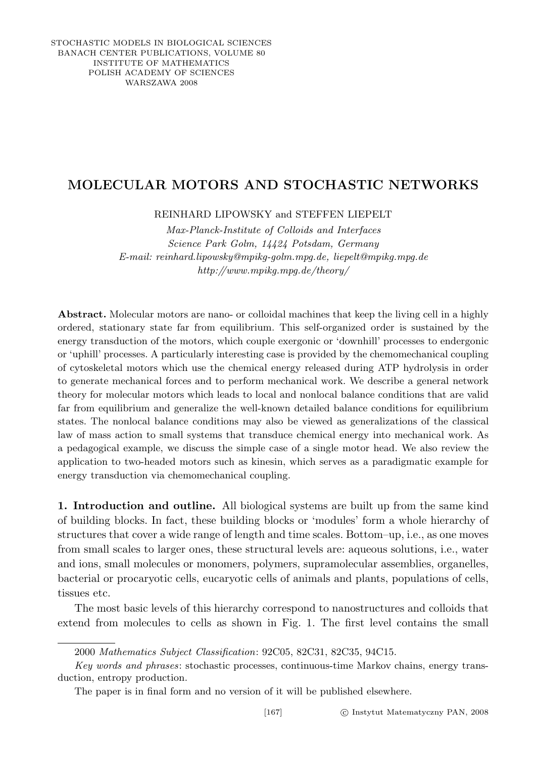## MOLECULAR MOTORS AND STOCHASTIC NETWORKS

REINHARD LIPOWSKY and STEFFEN LIEPELT

Max-Planck-Institute of Colloids and Interfaces Science Park Golm, 14424 Potsdam, Germany E-mail: reinhard.lipowsky@mpikg-golm.mpg.de, liepelt@mpikg.mpg.de http://www.mpikg.mpg.de/theory/

Abstract. Molecular motors are nano- or colloidal machines that keep the living cell in a highly ordered, stationary state far from equilibrium. This self-organized order is sustained by the energy transduction of the motors, which couple exergonic or 'downhill' processes to endergonic or 'uphill' processes. A particularly interesting case is provided by the chemomechanical coupling of cytoskeletal motors which use the chemical energy released during ATP hydrolysis in order to generate mechanical forces and to perform mechanical work. We describe a general network theory for molecular motors which leads to local and nonlocal balance conditions that are valid far from equilibrium and generalize the well-known detailed balance conditions for equilibrium states. The nonlocal balance conditions may also be viewed as generalizations of the classical law of mass action to small systems that transduce chemical energy into mechanical work. As a pedagogical example, we discuss the simple case of a single motor head. We also review the application to two-headed motors such as kinesin, which serves as a paradigmatic example for energy transduction via chemomechanical coupling.

1. Introduction and outline. All biological systems are built up from the same kind of building blocks. In fact, these building blocks or 'modules' form a whole hierarchy of structures that cover a wide range of length and time scales. Bottom–up, i.e., as one moves from small scales to larger ones, these structural levels are: aqueous solutions, i.e., water and ions, small molecules or monomers, polymers, supramolecular assemblies, organelles, bacterial or procaryotic cells, eucaryotic cells of animals and plants, populations of cells, tissues etc.

The most basic levels of this hierarchy correspond to nanostructures and colloids that extend from molecules to cells as shown in Fig. 1. The first level contains the small

<sup>2000</sup> Mathematics Subject Classification: 92C05, 82C31, 82C35, 94C15.

Key words and phrases: stochastic processes, continuous-time Markov chains, energy transduction, entropy production.

The paper is in final form and no version of it will be published elsewhere.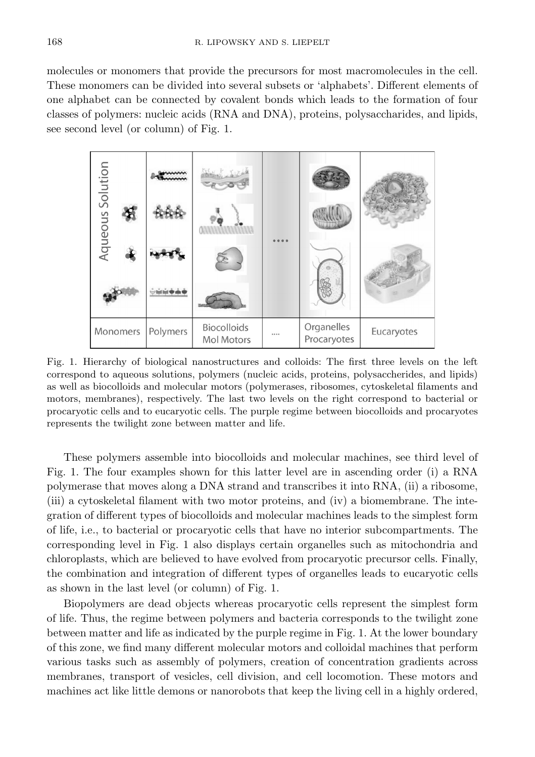molecules or monomers that provide the precursors for most macromolecules in the cell. These monomers can be divided into several subsets or 'alphabets'. Different elements of one alphabet can be connected by covalent bonds which leads to the formation of four classes of polymers: nucleic acids (RNA and DNA), proteins, polysaccharides, and lipids, see second level (or column) of Fig. 1.



Fig. 1. Hierarchy of biological nanostructures and colloids: The first three levels on the left correspond to aqueous solutions, polymers (nucleic acids, proteins, polysaccherides, and lipids) as well as biocolloids and molecular motors (polymerases, ribosomes, cytoskeletal filaments and motors, membranes), respectively. The last two levels on the right correspond to bacterial or procaryotic cells and to eucaryotic cells. The purple regime between biocolloids and procaryotes represents the twilight zone between matter and life.

These polymers assemble into biocolloids and molecular machines, see third level of Fig. 1. The four examples shown for this latter level are in ascending order (i) a RNA polymerase that moves along a DNA strand and transcribes it into RNA, (ii) a ribosome, (iii) a cytoskeletal filament with two motor proteins, and (iv) a biomembrane. The integration of different types of biocolloids and molecular machines leads to the simplest form of life, i.e., to bacterial or procaryotic cells that have no interior subcompartments. The corresponding level in Fig. 1 also displays certain organelles such as mitochondria and chloroplasts, which are believed to have evolved from procaryotic precursor cells. Finally, the combination and integration of different types of organelles leads to eucaryotic cells as shown in the last level (or column) of Fig. 1.

Biopolymers are dead objects whereas procaryotic cells represent the simplest form of life. Thus, the regime between polymers and bacteria corresponds to the twilight zone between matter and life as indicated by the purple regime in Fig. 1. At the lower boundary of this zone, we find many different molecular motors and colloidal machines that perform various tasks such as assembly of polymers, creation of concentration gradients across membranes, transport of vesicles, cell division, and cell locomotion. These motors and machines act like little demons or nanorobots that keep the living cell in a highly ordered,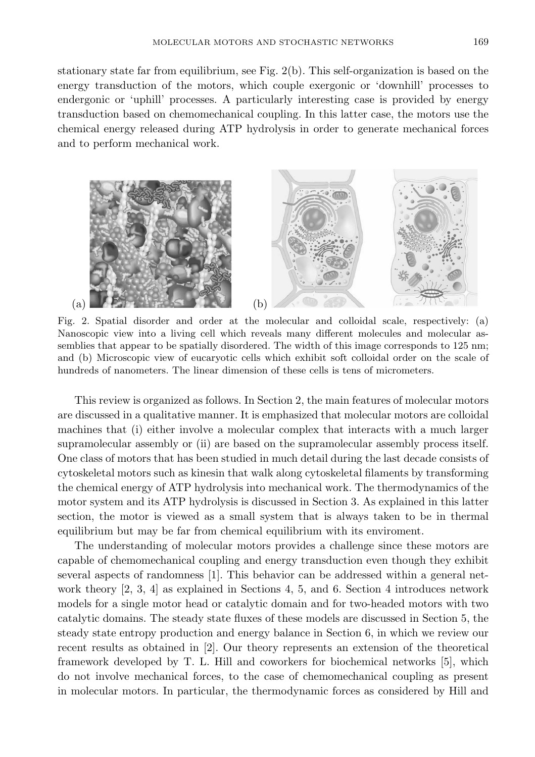stationary state far from equilibrium, see Fig. 2(b). This self-organization is based on the energy transduction of the motors, which couple exergonic or 'downhill' processes to endergonic or 'uphill' processes. A particularly interesting case is provided by energy transduction based on chemomechanical coupling. In this latter case, the motors use the chemical energy released during ATP hydrolysis in order to generate mechanical forces and to perform mechanical work.



Fig. 2. Spatial disorder and order at the molecular and colloidal scale, respectively: (a) Nanoscopic view into a living cell which reveals many different molecules and molecular assemblies that appear to be spatially disordered. The width of this image corresponds to 125 nm; and (b) Microscopic view of eucaryotic cells which exhibit soft colloidal order on the scale of hundreds of nanometers. The linear dimension of these cells is tens of micrometers.

This review is organized as follows. In Section 2, the main features of molecular motors are discussed in a qualitative manner. It is emphasized that molecular motors are colloidal machines that (i) either involve a molecular complex that interacts with a much larger supramolecular assembly or (ii) are based on the supramolecular assembly process itself. One class of motors that has been studied in much detail during the last decade consists of cytoskeletal motors such as kinesin that walk along cytoskeletal filaments by transforming the chemical energy of ATP hydrolysis into mechanical work. The thermodynamics of the motor system and its ATP hydrolysis is discussed in Section 3. As explained in this latter section, the motor is viewed as a small system that is always taken to be in thermal equilibrium but may be far from chemical equilibrium with its enviroment.

The understanding of molecular motors provides a challenge since these motors are capable of chemomechanical coupling and energy transduction even though they exhibit several aspects of randomness [1]. This behavior can be addressed within a general network theory [2, 3, 4] as explained in Sections 4, 5, and 6. Section 4 introduces network models for a single motor head or catalytic domain and for two-headed motors with two catalytic domains. The steady state fluxes of these models are discussed in Section 5, the steady state entropy production and energy balance in Section 6, in which we review our recent results as obtained in [2]. Our theory represents an extension of the theoretical framework developed by T. L. Hill and coworkers for biochemical networks [5], which do not involve mechanical forces, to the case of chemomechanical coupling as present in molecular motors. In particular, the thermodynamic forces as considered by Hill and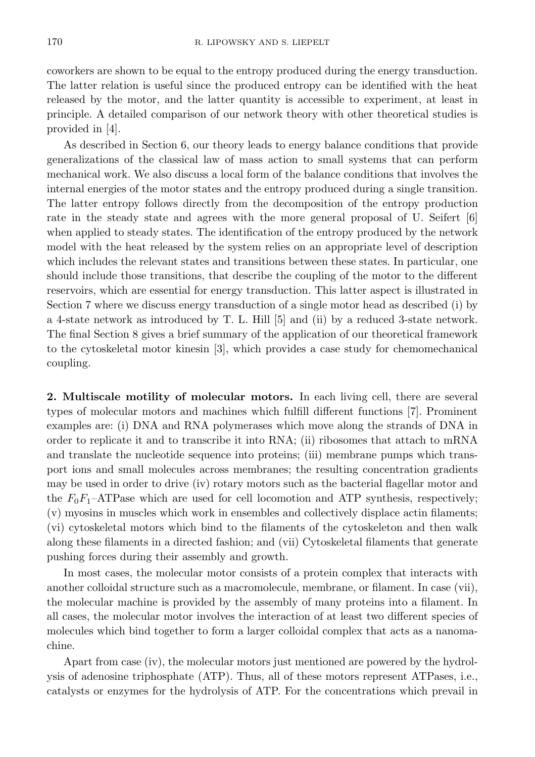coworkers are shown to be equal to the entropy produced during the energy transduction. The latter relation is useful since the produced entropy can be identified with the heat released by the motor, and the latter quantity is accessible to experiment, at least in principle. A detailed comparison of our network theory with other theoretical studies is provided in [4].

As described in Section 6, our theory leads to energy balance conditions that provide generalizations of the classical law of mass action to small systems that can perform mechanical work. We also discuss a local form of the balance conditions that involves the internal energies of the motor states and the entropy produced during a single transition. The latter entropy follows directly from the decomposition of the entropy production rate in the steady state and agrees with the more general proposal of U. Seifert [6] when applied to steady states. The identification of the entropy produced by the network model with the heat released by the system relies on an appropriate level of description which includes the relevant states and transitions between these states. In particular, one should include those transitions, that describe the coupling of the motor to the different reservoirs, which are essential for energy transduction. This latter aspect is illustrated in Section 7 where we discuss energy transduction of a single motor head as described (i) by a 4-state network as introduced by T. L. Hill [5] and (ii) by a reduced 3-state network. The final Section 8 gives a brief summary of the application of our theoretical framework to the cytoskeletal motor kinesin [3], which provides a case study for chemomechanical coupling.

2. Multiscale motility of molecular motors. In each living cell, there are several types of molecular motors and machines which fulfill different functions [7]. Prominent examples are: (i) DNA and RNA polymerases which move along the strands of DNA in order to replicate it and to transcribe it into RNA; (ii) ribosomes that attach to mRNA and translate the nucleotide sequence into proteins; (iii) membrane pumps which transport ions and small molecules across membranes; the resulting concentration gradients may be used in order to drive (iv) rotary motors such as the bacterial flagellar motor and the  $F_0F_1$ -ATPase which are used for cell locomotion and ATP synthesis, respectively; (v) myosins in muscles which work in ensembles and collectively displace actin filaments; (vi) cytoskeletal motors which bind to the filaments of the cytoskeleton and then walk along these filaments in a directed fashion; and (vii) Cytoskeletal filaments that generate pushing forces during their assembly and growth.

In most cases, the molecular motor consists of a protein complex that interacts with another colloidal structure such as a macromolecule, membrane, or filament. In case (vii), the molecular machine is provided by the assembly of many proteins into a filament. In all cases, the molecular motor involves the interaction of at least two different species of molecules which bind together to form a larger colloidal complex that acts as a nanomachine.

Apart from case (iv), the molecular motors just mentioned are powered by the hydrolysis of adenosine triphosphate (ATP). Thus, all of these motors represent ATPases, i.e., catalysts or enzymes for the hydrolysis of ATP. For the concentrations which prevail in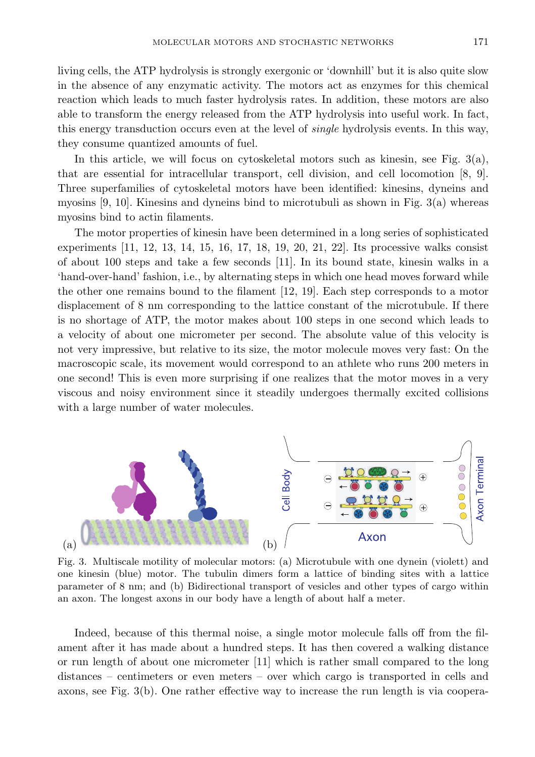living cells, the ATP hydrolysis is strongly exergonic or 'downhill' but it is also quite slow in the absence of any enzymatic activity. The motors act as enzymes for this chemical reaction which leads to much faster hydrolysis rates. In addition, these motors are also able to transform the energy released from the ATP hydrolysis into useful work. In fact, this energy transduction occurs even at the level of single hydrolysis events. In this way, they consume quantized amounts of fuel.

In this article, we will focus on cytoskeletal motors such as kinesin, see Fig.  $3(a)$ , that are essential for intracellular transport, cell division, and cell locomotion [8, 9]. Three superfamilies of cytoskeletal motors have been identified: kinesins, dyneins and myosins [9, 10]. Kinesins and dyneins bind to microtubuli as shown in Fig. 3(a) whereas myosins bind to actin filaments.

The motor properties of kinesin have been determined in a long series of sophisticated experiments [11, 12, 13, 14, 15, 16, 17, 18, 19, 20, 21, 22]. Its processive walks consist of about 100 steps and take a few seconds [11]. In its bound state, kinesin walks in a 'hand-over-hand' fashion, i.e., by alternating steps in which one head moves forward while the other one remains bound to the filament [12, 19]. Each step corresponds to a motor displacement of 8 nm corresponding to the lattice constant of the microtubule. If there is no shortage of ATP, the motor makes about 100 steps in one second which leads to a velocity of about one micrometer per second. The absolute value of this velocity is not very impressive, but relative to its size, the motor molecule moves very fast: On the macroscopic scale, its movement would correspond to an athlete who runs 200 meters in one second! This is even more surprising if one realizes that the motor moves in a very viscous and noisy environment since it steadily undergoes thermally excited collisions with a large number of water molecules.



Fig. 3. Multiscale motility of molecular motors: (a) Microtubule with one dynein (violett) and one kinesin (blue) motor. The tubulin dimers form a lattice of binding sites with a lattice parameter of 8 nm; and (b) Bidirectional transport of vesicles and other types of cargo within an axon. The longest axons in our body have a length of about half a meter.

Indeed, because of this thermal noise, a single motor molecule falls off from the filament after it has made about a hundred steps. It has then covered a walking distance or run length of about one micrometer [11] which is rather small compared to the long distances – centimeters or even meters – over which cargo is transported in cells and axons, see Fig. 3(b). One rather effective way to increase the run length is via coopera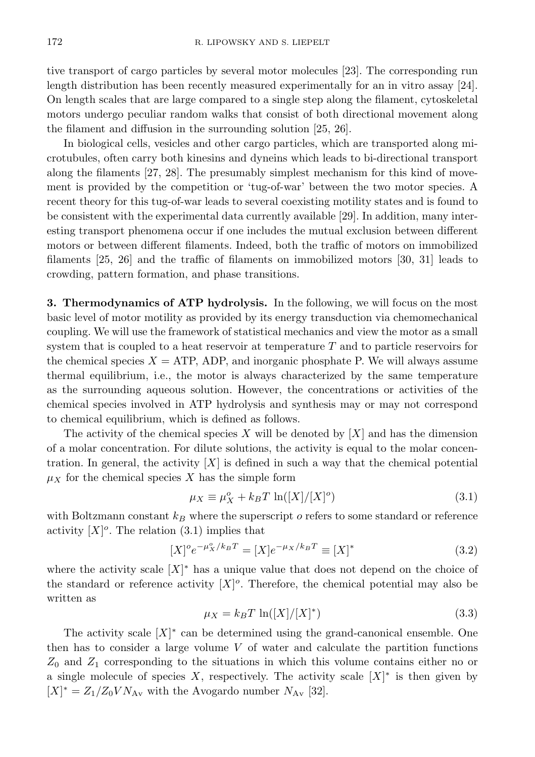tive transport of cargo particles by several motor molecules [23]. The corresponding run length distribution has been recently measured experimentally for an in vitro assay [24]. On length scales that are large compared to a single step along the filament, cytoskeletal motors undergo peculiar random walks that consist of both directional movement along the filament and diffusion in the surrounding solution [25, 26].

In biological cells, vesicles and other cargo particles, which are transported along microtubules, often carry both kinesins and dyneins which leads to bi-directional transport along the filaments [27, 28]. The presumably simplest mechanism for this kind of movement is provided by the competition or 'tug-of-war' between the two motor species. A recent theory for this tug-of-war leads to several coexisting motility states and is found to be consistent with the experimental data currently available [29]. In addition, many interesting transport phenomena occur if one includes the mutual exclusion between different motors or between different filaments. Indeed, both the traffic of motors on immobilized filaments [25, 26] and the traffic of filaments on immobilized motors [30, 31] leads to crowding, pattern formation, and phase transitions.

3. Thermodynamics of ATP hydrolysis. In the following, we will focus on the most basic level of motor motility as provided by its energy transduction via chemomechanical coupling. We will use the framework of statistical mechanics and view the motor as a small system that is coupled to a heat reservoir at temperature  $T$  and to particle reservoirs for the chemical species  $X = ATP$ , ADP, and inorganic phosphate P. We will always assume thermal equilibrium, i.e., the motor is always characterized by the same temperature as the surrounding aqueous solution. However, the concentrations or activities of the chemical species involved in ATP hydrolysis and synthesis may or may not correspond to chemical equilibrium, which is defined as follows.

The activity of the chemical species X will be denoted by  $[X]$  and has the dimension of a molar concentration. For dilute solutions, the activity is equal to the molar concentration. In general, the activity  $|X|$  is defined in such a way that the chemical potential  $\mu_X$  for the chemical species X has the simple form

$$
\mu_X \equiv \mu_X^o + k_B T \ln([X]/[X]^o) \tag{3.1}
$$

with Boltzmann constant  $k_B$  where the superscript o refers to some standard or reference activity  $[X]^\sigma$ . The relation (3.1) implies that

$$
[X]^{o}e^{-\mu_{X}^{o}/k_{B}T} = [X]e^{-\mu_{X}/k_{B}T} \equiv [X]^{*}
$$
\n(3.2)

where the activity scale  $[X]^*$  has a unique value that does not depend on the choice of the standard or reference activity  $[X]^\circ$ . Therefore, the chemical potential may also be written as

$$
\mu_X = k_B T \ln([X]/[X]^*) \tag{3.3}
$$

The activity scale  $[X]^*$  can be determined using the grand-canonical ensemble. One then has to consider a large volume  $V$  of water and calculate the partition functions  $Z_0$  and  $Z_1$  corresponding to the situations in which this volume contains either no or a single molecule of species X, respectively. The activity scale  $[X]^*$  is then given by  $[X]^* = Z_1/Z_0 V N_{\rm Av}$  with the Avogardo number  $N_{\rm Av}$  [32].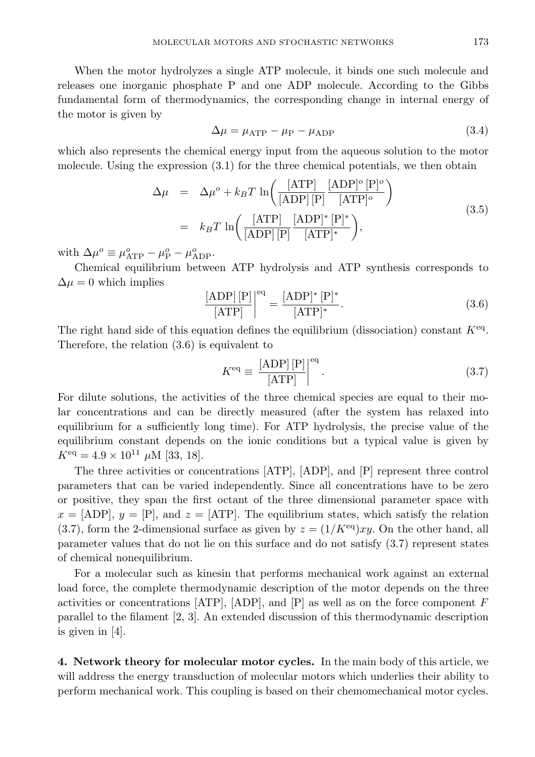When the motor hydrolyzes a single ATP molecule, it binds one such molecule and releases one inorganic phosphate P and one ADP molecule. According to the Gibbs fundamental form of thermodynamics, the corresponding change in internal energy of the motor is given by

$$
\Delta \mu = \mu_{\text{ATP}} - \mu_{\text{P}} - \mu_{\text{ADP}} \tag{3.4}
$$

which also represents the chemical energy input from the aqueous solution to the motor molecule. Using the expression (3.1) for the three chemical potentials, we then obtain

$$
\Delta \mu = \Delta \mu^o + k_B T \ln \left( \frac{[\text{ATP}]}{[\text{ADP}][\text{P}]} \frac{[\text{ADP}]^o [\text{P}]^o}{[\text{ATP}]^o} \right)
$$
\n
$$
= k_B T \ln \left( \frac{[\text{ATP}]}{[\text{ADP}][\text{P}]} \frac{[\text{ADP}]^* [\text{P}]^*}{[\text{ATP}]^*} \right),
$$
\n(3.5)

with  $\Delta \mu^o \equiv \mu_{\text{ATP}}^o - \mu_{\text{P}}^o - \mu_{\text{ADP}}^o$ .

Chemical equilibrium between ATP hydrolysis and ATP synthesis corresponds to  $\Delta \mu = 0$  which implies

$$
\frac{\text{[ADP]}[P]}{\text{[ATP]}}\bigg|^{eq} = \frac{\text{[ADP]}^* [P]^*}{\text{[ATP]}^*}.
$$
\n(3.6)

The right hand side of this equation defines the equilibrium (dissociation) constant  $K^{eq}$ . Therefore, the relation (3.6) is equivalent to

$$
K^{\text{eq}} \equiv \frac{\text{[ADP]} \, [\text{P}]}{\text{[ATP]}} \bigg|^\text{eq} . \tag{3.7}
$$

For dilute solutions, the activities of the three chemical species are equal to their molar concentrations and can be directly measured (after the system has relaxed into equilibrium for a sufficiently long time). For ATP hydrolysis, the precise value of the equilibrium constant depends on the ionic conditions but a typical value is given by  $K^{\text{eq}} = 4.9 \times 10^{11} \mu \text{M}$  [33, 18].

The three activities or concentrations [ATP], [ADP], and [P] represent three control parameters that can be varied independently. Since all concentrations have to be zero or positive, they span the first octant of the three dimensional parameter space with  $x = [ADP], y = [P],$  and  $z = [ATP].$  The equilibrium states, which satisfy the relation (3.7), form the 2-dimensional surface as given by  $z = (1/K<sup>eq</sup>)xy$ . On the other hand, all parameter values that do not lie on this surface and do not satisfy (3.7) represent states of chemical nonequilibrium.

For a molecular such as kinesin that performs mechanical work against an external load force, the complete thermodynamic description of the motor depends on the three activities or concentrations  $[ATP]$ ,  $[ADP]$ , and  $[P]$  as well as on the force component F parallel to the filament [2, 3]. An extended discussion of this thermodynamic description is given in [4].

4. Network theory for molecular motor cycles. In the main body of this article, we will address the energy transduction of molecular motors which underlies their ability to perform mechanical work. This coupling is based on their chemomechanical motor cycles.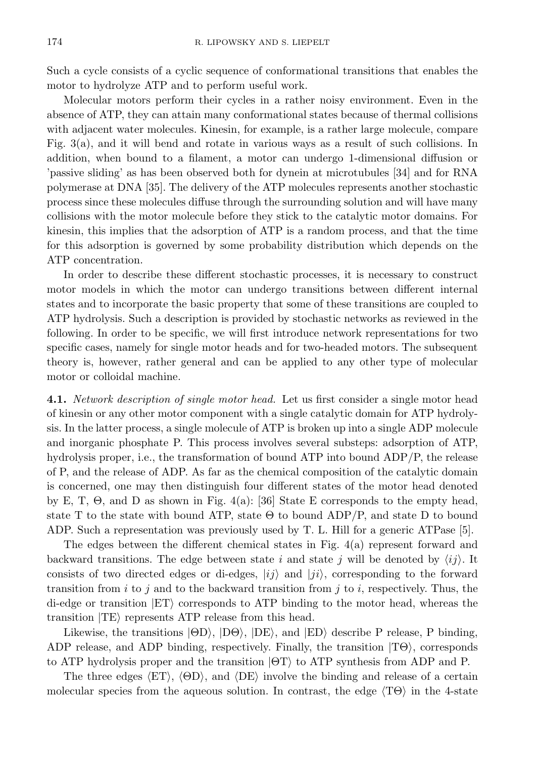Such a cycle consists of a cyclic sequence of conformational transitions that enables the motor to hydrolyze ATP and to perform useful work.

Molecular motors perform their cycles in a rather noisy environment. Even in the absence of ATP, they can attain many conformational states because of thermal collisions with adjacent water molecules. Kinesin, for example, is a rather large molecule, compare Fig. 3(a), and it will bend and rotate in various ways as a result of such collisions. In addition, when bound to a filament, a motor can undergo 1-dimensional diffusion or 'passive sliding' as has been observed both for dynein at microtubules [34] and for RNA polymerase at DNA [35]. The delivery of the ATP molecules represents another stochastic process since these molecules diffuse through the surrounding solution and will have many collisions with the motor molecule before they stick to the catalytic motor domains. For kinesin, this implies that the adsorption of ATP is a random process, and that the time for this adsorption is governed by some probability distribution which depends on the ATP concentration.

In order to describe these different stochastic processes, it is necessary to construct motor models in which the motor can undergo transitions between different internal states and to incorporate the basic property that some of these transitions are coupled to ATP hydrolysis. Such a description is provided by stochastic networks as reviewed in the following. In order to be specific, we will first introduce network representations for two specific cases, namely for single motor heads and for two-headed motors. The subsequent theory is, however, rather general and can be applied to any other type of molecular motor or colloidal machine.

4.1. Network description of single motor head. Let us first consider a single motor head of kinesin or any other motor component with a single catalytic domain for ATP hydrolysis. In the latter process, a single molecule of ATP is broken up into a single ADP molecule and inorganic phosphate P. This process involves several substeps: adsorption of ATP, hydrolysis proper, i.e., the transformation of bound ATP into bound ADP/P, the release of P, and the release of ADP. As far as the chemical composition of the catalytic domain is concerned, one may then distinguish four different states of the motor head denoted by E, T, Θ, and D as shown in Fig. 4(a): [36] State E corresponds to the empty head, state T to the state with bound ATP, state  $\Theta$  to bound ADP/P, and state D to bound ADP. Such a representation was previously used by T. L. Hill for a generic ATPase [5].

The edges between the different chemical states in Fig. 4(a) represent forward and backward transitions. The edge between state i and state j will be denoted by  $\langle ij \rangle$ . It consists of two directed edges or di-edges,  $|ij\rangle$  and  $|ji\rangle$ , corresponding to the forward transition from i to j and to the backward transition from j to i, respectively. Thus, the di-edge or transition  $ET$  corresponds to ATP binding to the motor head, whereas the transition  $|TE\rangle$  represents ATP release from this head.

Likewise, the transitions  $|\Theta D\rangle$ ,  $|D\Theta\rangle$ ,  $|DE\rangle$ , and  $|ED\rangle$  describe P release, P binding, ADP release, and ADP binding, respectively. Finally, the transition  $|T\Theta\rangle$ , corresponds to ATP hydrolysis proper and the transition  $|\Theta T\rangle$  to ATP synthesis from ADP and P.

The three edges  $\langle ET \rangle$ ,  $\langle \Theta D \rangle$ , and  $\langle DE \rangle$  involve the binding and release of a certain molecular species from the aqueous solution. In contrast, the edge  $\langle T\Theta \rangle$  in the 4-state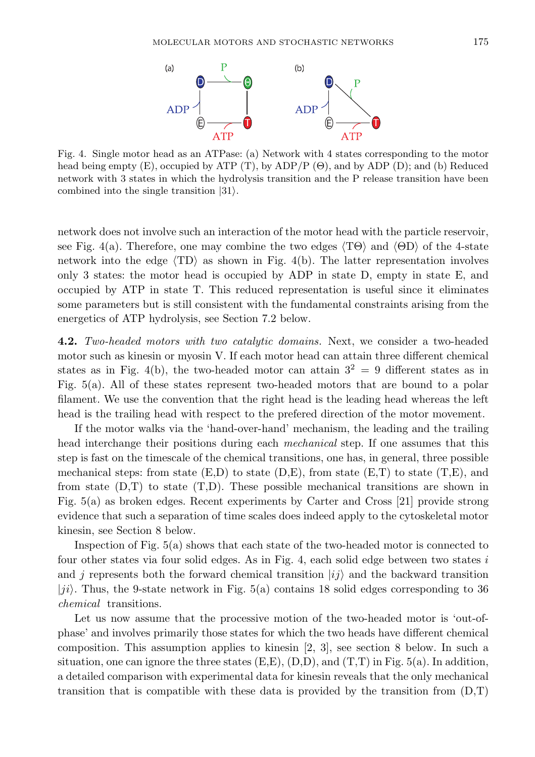

Fig. 4. Single motor head as an ATPase: (a) Network with 4 states corresponding to the motor head being empty  $(E)$ , occupied by ATP  $(T)$ , by ADP $/P$   $(\Theta)$ , and by ADP  $(D)$ ; and  $(b)$  Reduced network with 3 states in which the hydrolysis transition and the P release transition have been combined into the single transition  $|31\rangle$ .

network does not involve such an interaction of the motor head with the particle reservoir, see Fig. 4(a). Therefore, one may combine the two edges  $\langle T\Theta \rangle$  and  $\langle \Theta D \rangle$  of the 4-state network into the edge  $\langle TD \rangle$  as shown in Fig. 4(b). The latter representation involves only 3 states: the motor head is occupied by ADP in state D, empty in state E, and occupied by ATP in state T. This reduced representation is useful since it eliminates some parameters but is still consistent with the fundamental constraints arising from the energetics of ATP hydrolysis, see Section 7.2 below.

4.2. Two-headed motors with two catalytic domains. Next, we consider a two-headed motor such as kinesin or myosin V. If each motor head can attain three different chemical states as in Fig. 4(b), the two-headed motor can attain  $3^2 = 9$  different states as in Fig. 5(a). All of these states represent two-headed motors that are bound to a polar filament. We use the convention that the right head is the leading head whereas the left head is the trailing head with respect to the prefered direction of the motor movement.

If the motor walks via the 'hand-over-hand' mechanism, the leading and the trailing head interchange their positions during each *mechanical* step. If one assumes that this step is fast on the timescale of the chemical transitions, one has, in general, three possible mechanical steps: from state  $(E,D)$  to state  $(D,E)$ , from state  $(E,T)$  to state  $(T,E)$ , and from state  $(D,T)$  to state  $(T,D)$ . These possible mechanical transitions are shown in Fig. 5(a) as broken edges. Recent experiments by Carter and Cross [21] provide strong evidence that such a separation of time scales does indeed apply to the cytoskeletal motor kinesin, see Section 8 below.

Inspection of Fig. 5(a) shows that each state of the two-headed motor is connected to four other states via four solid edges. As in Fig. 4, each solid edge between two states  $i$ and j represents both the forward chemical transition  $|i j \rangle$  and the backward transition  $|ji\rangle$ . Thus, the 9-state network in Fig. 5(a) contains 18 solid edges corresponding to 36 chemical transitions.

Let us now assume that the processive motion of the two-headed motor is 'out-ofphase' and involves primarily those states for which the two heads have different chemical composition. This assumption applies to kinesin [2, 3], see section 8 below. In such a situation, one can ignore the three states  $(E,E)$ ,  $(D,D)$ , and  $(T,T)$  in Fig. 5(a). In addition, a detailed comparison with experimental data for kinesin reveals that the only mechanical transition that is compatible with these data is provided by the transition from  $(D,T)$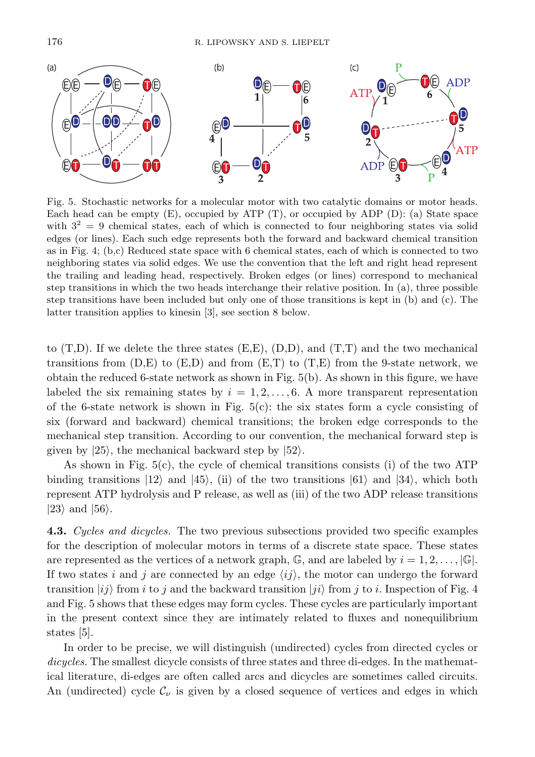

Fig. 5. Stochastic networks for a molecular motor with two catalytic domains or motor heads. Each head can be empty  $(E)$ , occupied by ATP  $(T)$ , or occupied by ADP  $(D)$ : (a) State space with  $3^2 = 9$  chemical states, each of which is connected to four neighboring states via solid edges (or lines). Each such edge represents both the forward and backward chemical transition as in Fig. 4; (b,c) Reduced state space with 6 chemical states, each of which is connected to two neighboring states via solid edges. We use the convention that the left and right head represent the trailing and leading head, respectively. Broken edges (or lines) correspond to mechanical step transitions in which the two heads interchange their relative position. In (a), three possible step transitions have been included but only one of those transitions is kept in (b) and (c). The latter transition applies to kinesin [3], see section 8 below.

to  $(T,D)$ . If we delete the three states  $(E,E)$ ,  $(D,D)$ , and  $(T,T)$  and the two mechanical transitions from  $(D,E)$  to  $(E,D)$  and from  $(E,T)$  to  $(T,E)$  from the 9-state network, we obtain the reduced 6-state network as shown in Fig. 5(b). As shown in this figure, we have labeled the six remaining states by  $i = 1, 2, \ldots, 6$ . A more transparent representation of the 6-state network is shown in Fig.  $5(c)$ : the six states form a cycle consisting of six (forward and backward) chemical transitions; the broken edge corresponds to the mechanical step transition. According to our convention, the mechanical forward step is given by  $|25\rangle$ , the mechanical backward step by  $|52\rangle$ .

As shown in Fig.  $5(c)$ , the cycle of chemical transitions consists (i) of the two ATP binding transitions  $|12\rangle$  and  $|45\rangle$ , (ii) of the two transitions  $|61\rangle$  and  $|34\rangle$ , which both represent ATP hydrolysis and P release, as well as (iii) of the two ADP release transitions  $|23\rangle$  and  $|56\rangle$ .

**4.3.** Cycles and dicycles. The two previous subsections provided two specific examples for the description of molecular motors in terms of a discrete state space. These states are represented as the vertices of a network graph,  $\mathbb{G}$ , and are labeled by  $i = 1, 2, \ldots, |\mathbb{G}|$ . If two states i and j are connected by an edge  $\langle ij \rangle$ , the motor can undergo the forward transition  $|i j \rangle$  from i to j and the backward transition  $|j i \rangle$  from j to i. Inspection of Fig. 4 and Fig. 5 shows that these edges may form cycles. These cycles are particularly important in the present context since they are intimately related to fluxes and nonequilibrium states [5].

In order to be precise, we will distinguish (undirected) cycles from directed cycles or dicycles. The smallest dicycle consists of three states and three di-edges. In the mathematical literature, di-edges are often called arcs and dicycles are sometimes called circuits. An (undirected) cycle  $\mathcal{C}_{\nu}$  is given by a closed sequence of vertices and edges in which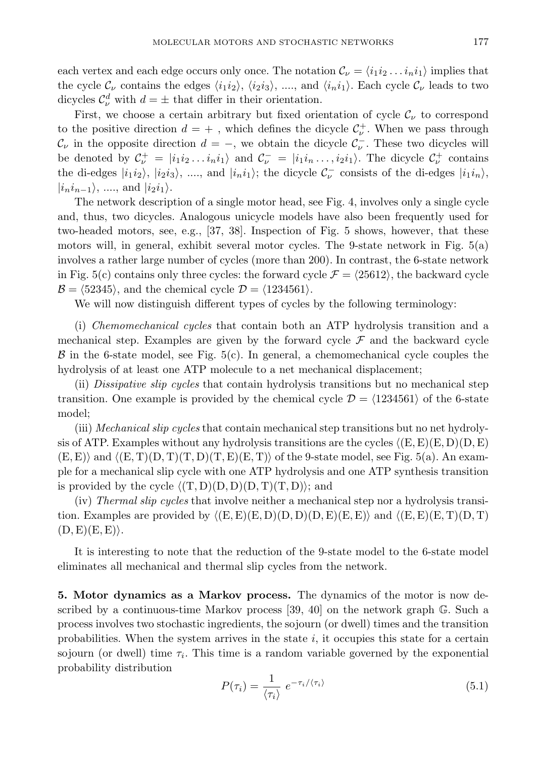each vertex and each edge occurs only once. The notation  $\mathcal{C}_{\nu} = \langle i_1 i_2 \dots i_n i_1 \rangle$  implies that the cycle  $\mathcal{C}_{\nu}$  contains the edges  $\langle i_1 i_2 \rangle$ ,  $\langle i_2 i_3 \rangle$ , ..., and  $\langle i_n i_1 \rangle$ . Each cycle  $\mathcal{C}_{\nu}$  leads to two dicycles  $\mathcal{C}_{\nu}^{d}$  with  $d = \pm$  that differ in their orientation.

First, we choose a certain arbitrary but fixed orientation of cycle  $\mathcal{C}_{\nu}$  to correspond to the positive direction  $d = +$ , which defines the dicycle  $C_{\nu}^{+}$ . When we pass through  $\mathcal{C}_{\nu}$  in the opposite direction  $d = -$ , we obtain the dicycle  $\mathcal{C}_{\nu}^-$ . These two dicycles will be denoted by  $\mathcal{C}_{\nu}^+ = |i_1 i_2 ... i_n i_1\rangle$  and  $\mathcal{C}_{\nu}^- = |i_1 i_1 ... i_2 i_1\rangle$ . The dicycle  $\mathcal{C}_{\nu}^+$  contains the di-edges  $|i_1i_2\rangle$ ,  $|i_2i_3\rangle$ , ..., and  $|i_ni_1\rangle$ ; the dicycle  $\mathcal{C}^-_{\nu}$  consists of the di-edges  $|i_1i_n\rangle$ ,  $|i_n i_{n-1}\rangle$ , ...., and  $|i_2 i_1\rangle$ .

The network description of a single motor head, see Fig. 4, involves only a single cycle and, thus, two dicycles. Analogous unicycle models have also been frequently used for two-headed motors, see, e.g., [37, 38]. Inspection of Fig. 5 shows, however, that these motors will, in general, exhibit several motor cycles. The 9-state network in Fig. 5(a) involves a rather large number of cycles (more than 200). In contrast, the 6-state network in Fig. 5(c) contains only three cycles: the forward cycle  $\mathcal{F} = \langle 25612 \rangle$ , the backward cycle  $\mathcal{B} = \langle 52345 \rangle$ , and the chemical cycle  $\mathcal{D} = \langle 1234561 \rangle$ .

We will now distinguish different types of cycles by the following terminology:

(i) Chemomechanical cycles that contain both an ATP hydrolysis transition and a mechanical step. Examples are given by the forward cycle  $\mathcal F$  and the backward cycle  $\beta$  in the 6-state model, see Fig. 5(c). In general, a chemomechanical cycle couples the hydrolysis of at least one ATP molecule to a net mechanical displacement;

(ii) Dissipative slip cycles that contain hydrolysis transitions but no mechanical step transition. One example is provided by the chemical cycle  $\mathcal{D} = \langle 1234561 \rangle$  of the 6-state model;

(iii) Mechanical slip cycles that contain mechanical step transitions but no net hydrolysis of ATP. Examples without any hydrolysis transitions are the cycles  $\langle (E, E)(E, D)(D, E) \rangle$  $(E, E)$  and  $\langle (E, T)(D, T)(T, D)(T, E)(E, T)\rangle$  of the 9-state model, see Fig. 5(a). An example for a mechanical slip cycle with one ATP hydrolysis and one ATP synthesis transition is provided by the cycle  $\langle (T, D)(D, D)(D, T)(T, D) \rangle$ ; and

(iv) Thermal slip cycles that involve neither a mechanical step nor a hydrolysis transition. Examples are provided by  $\langle (E, E)(E, D)(D, D)(D, E)(E, E) \rangle$  and  $\langle (E, E)(E, T)(D, T) \rangle$  $(D, E)(E, E)\rangle.$ 

It is interesting to note that the reduction of the 9-state model to the 6-state model eliminates all mechanical and thermal slip cycles from the network.

5. Motor dynamics as a Markov process. The dynamics of the motor is now described by a continuous-time Markov process  $[39, 40]$  on the network graph  $\mathbb{G}$ . Such a process involves two stochastic ingredients, the sojourn (or dwell) times and the transition probabilities. When the system arrives in the state  $i$ , it occupies this state for a certain sojourn (or dwell) time  $\tau_i$ . This time is a random variable governed by the exponential probability distribution

$$
P(\tau_i) = \frac{1}{\langle \tau_i \rangle} e^{-\tau_i/\langle \tau_i \rangle} \tag{5.1}
$$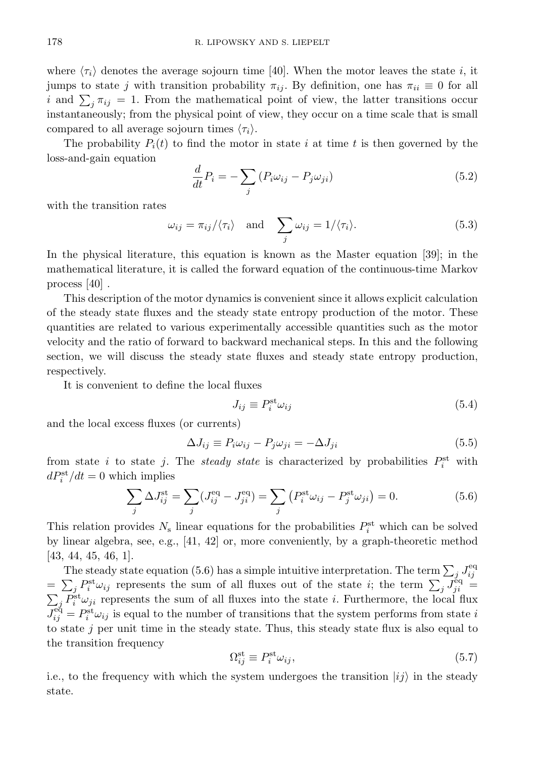where  $\langle \tau_i \rangle$  denotes the average sojourn time [40]. When the motor leaves the state i, it jumps to state j with transition probability  $\pi_{ij}$ . By definition, one has  $\pi_{ii} \equiv 0$  for all i and  $\sum_j \pi_{ij} = 1$ . From the mathematical point of view, the latter transitions occur instantaneously; from the physical point of view, they occur on a time scale that is small compared to all average sojourn times  $\langle \tau_i \rangle$ .

The probability  $P_i(t)$  to find the motor in state i at time t is then governed by the loss-and-gain equation

$$
\frac{d}{dt}P_i = -\sum_j \left( P_i \omega_{ij} - P_j \omega_{ji} \right) \tag{5.2}
$$

with the transition rates

$$
\omega_{ij} = \pi_{ij} / \langle \tau_i \rangle \quad \text{and} \quad \sum_j \omega_{ij} = 1 / \langle \tau_i \rangle. \tag{5.3}
$$

In the physical literature, this equation is known as the Master equation [39]; in the mathematical literature, it is called the forward equation of the continuous-time Markov process [40] .

This description of the motor dynamics is convenient since it allows explicit calculation of the steady state fluxes and the steady state entropy production of the motor. These quantities are related to various experimentally accessible quantities such as the motor velocity and the ratio of forward to backward mechanical steps. In this and the following section, we will discuss the steady state fluxes and steady state entropy production, respectively.

It is convenient to define the local fluxes

$$
J_{ij} \equiv P_i^{\text{st}} \omega_{ij} \tag{5.4}
$$

and the local excess fluxes (or currents)

$$
\Delta J_{ij} \equiv P_i \omega_{ij} - P_j \omega_{ji} = -\Delta J_{ji} \tag{5.5}
$$

from state *i* to state *j*. The *steady state* is characterized by probabilities  $P_i^{\text{st}}$  with  $dP_i^{\text{st}}/dt = 0$  which implies

$$
\sum_{j} \Delta J_{ij}^{\text{st}} = \sum_{j} (J_{ij}^{\text{eq}} - J_{ji}^{\text{eq}}) = \sum_{j} (P_i^{\text{st}} \omega_{ij} - P_j^{\text{st}} \omega_{ji}) = 0.
$$
 (5.6)

This relation provides  $N_s$  linear equations for the probabilities  $P_i^{\text{st}}$  which can be solved by linear algebra, see, e.g., [41, 42] or, more conveniently, by a graph-theoretic method [43, 44, 45, 46, 1].

The steady state equation (5.6) has a simple intuitive interpretation. The term  $\sum_j J_{ij}^{\text{eq}}$  $=\sum_j P_i^{\text{st}} \omega_{ij}$  represents the sum of all fluxes out of the state i; the term  $\sum_j J_{ji}^{\text{eq}} =$  $\sum_j P_i^{\text{st}} \omega_{ji}$  represents the sum of all fluxes into the state *i*. Furthermore, the local flux  $J_{ij}^{\text{eq}} = P_i^{\text{st}} \omega_{ij}$  is equal to the number of transitions that the system performs from state i to state  $j$  per unit time in the steady state. Thus, this steady state flux is also equal to the transition frequency

$$
\Omega_{ij}^{\text{st}} \equiv P_i^{\text{st}} \omega_{ij},\tag{5.7}
$$

i.e., to the frequency with which the system undergoes the transition  $|i j \rangle$  in the steady state.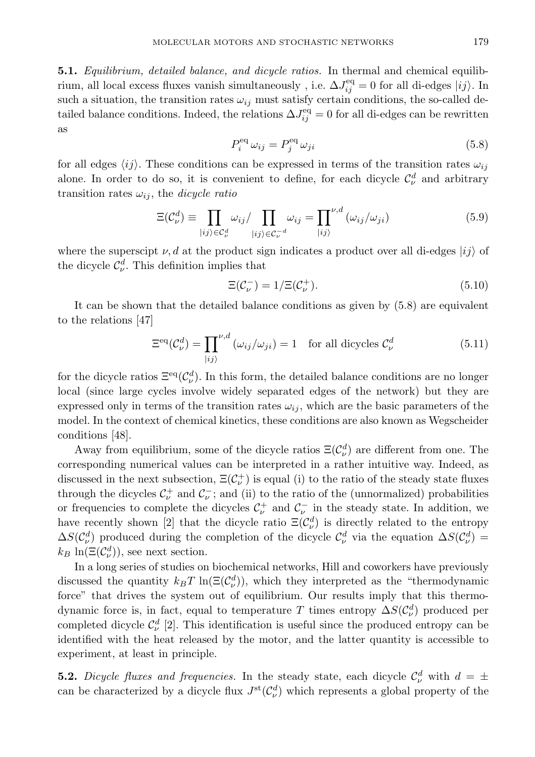5.1. Equilibrium, detailed balance, and dicycle ratios. In thermal and chemical equilibrium, all local excess fluxes vanish simultaneously , i.e.  $\Delta J_{ij}^{\text{eq}} = 0$  for all di-edges  $|ij\rangle$ . In such a situation, the transition rates  $\omega_{ij}$  must satisfy certain conditions, the so-called detailed balance conditions. Indeed, the relations  $\Delta J_{ij}^{\text{eq}} = 0$  for all di-edges can be rewritten as

$$
P_i^{\text{eq}} \omega_{ij} = P_j^{\text{eq}} \omega_{ji} \tag{5.8}
$$

for all edges  $\langle ij \rangle$ . These conditions can be expressed in terms of the transition rates  $\omega_{ij}$ alone. In order to do so, it is convenient to define, for each dicycle  $\mathcal{C}_{\nu}^{d}$  and arbitrary transition rates  $\omega_{ij}$ , the *dicycle ratio* 

$$
\Xi(\mathcal{C}_{\nu}^{d}) \equiv \prod_{|ij\rangle \in \mathcal{C}_{\nu}^{d}} \omega_{ij} / \prod_{|ij\rangle \in \mathcal{C}_{\nu}^{-d}} \omega_{ij} = \prod_{|ij\rangle}^{\nu, d} (\omega_{ij} / \omega_{ji})
$$
(5.9)

where the superscipt  $\nu$ , d at the product sign indicates a product over all di-edges  $|ij\rangle$  of the dicycle  $\mathcal{C}_{\nu}^{d}$ . This definition implies that

$$
\Xi(\mathcal{C}_{\nu}^{-}) = 1/\Xi(\mathcal{C}_{\nu}^{+}).
$$
\n(5.10)

It can be shown that the detailed balance conditions as given by (5.8) are equivalent to the relations [47]

$$
\Xi^{\text{eq}}(\mathcal{C}_{\nu}^{d}) = \prod_{|ij\rangle}^{\nu,d} (\omega_{ij}/\omega_{ji}) = 1 \quad \text{for all digycles } \mathcal{C}_{\nu}^{d}
$$
 (5.11)

for the dicycle ratios  $\Xi^{\text{eq}}(\mathcal{C}^d_\nu)$ . In this form, the detailed balance conditions are no longer local (since large cycles involve widely separated edges of the network) but they are expressed only in terms of the transition rates  $\omega_{ij}$ , which are the basic parameters of the model. In the context of chemical kinetics, these conditions are also known as Wegscheider conditions [48].

Away from equilibrium, some of the dicycle ratios  $\Xi(\mathcal{C}_{\nu}^d)$  are different from one. The corresponding numerical values can be interpreted in a rather intuitive way. Indeed, as discussed in the next subsection,  $E(\mathcal{C}^+_\nu)$  is equal (i) to the ratio of the steady state fluxes through the dicycles  $C_{\nu}^+$  and  $C_{\nu}^-$ ; and (ii) to the ratio of the (unnormalized) probabilities or frequencies to complete the dicycles  $\mathcal{C}^{\dagger}_{\nu}$  and  $\mathcal{C}^-_{\nu}$  in the steady state. In addition, we have recently shown [2] that the dicycle ratio  $\Xi(\mathcal{C}^d_\nu)$  is directly related to the entropy  $\Delta S(\mathcal{C}_{\nu}^d)$  produced during the completion of the dicycle  $\mathcal{C}_{\nu}^d$  via the equation  $\Delta S(\mathcal{C}_{\nu}^d)$  =  $k_B \ln(\Xi(\mathcal{C}^d_\nu))$ , see next section.

In a long series of studies on biochemical networks, Hill and coworkers have previously discussed the quantity  $k_B T \ln(\Xi(\mathcal{C}^d_\nu))$ , which they interpreted as the "thermodynamic force" that drives the system out of equilibrium. Our results imply that this thermodynamic force is, in fact, equal to temperature T times entropy  $\Delta S(\mathcal{C}^d_\nu)$  produced per completed dicycle  $\mathcal{C}_{\nu}^{d}$  [2]. This identification is useful since the produced entropy can be identified with the heat released by the motor, and the latter quantity is accessible to experiment, at least in principle.

**5.2.** Dicycle fluxes and frequencies. In the steady state, each dicycle  $\mathcal{C}^d_\nu$  with  $d = \pm$ can be characterized by a dicycle flux  $J^{\text{st}}(\mathcal{C}^d_\nu)$  which represents a global property of the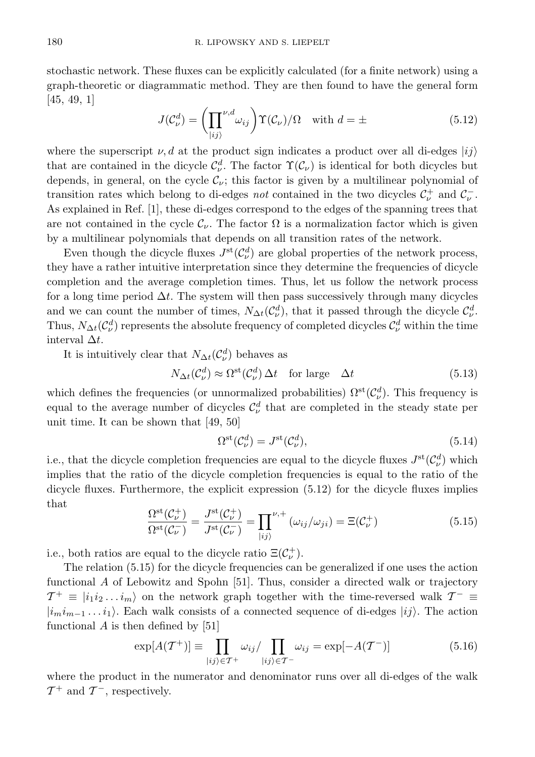stochastic network. These fluxes can be explicitly calculated (for a finite network) using a graph-theoretic or diagrammatic method. They are then found to have the general form [45, 49, 1]

$$
J(\mathcal{C}_{\nu}^{d}) = \left(\prod_{|ij\rangle}^{\nu,d} \omega_{ij}\right) \Upsilon(\mathcal{C}_{\nu})/\Omega \quad \text{with } d = \pm \tag{5.12}
$$

where the superscript  $\nu, d$  at the product sign indicates a product over all di-edges  $|ij\rangle$ that are contained in the dicycle  $\mathcal{C}_{\nu}^d$ . The factor  $\Upsilon(\mathcal{C}_{\nu})$  is identical for both dicycles but depends, in general, on the cycle  $\mathcal{C}_{\nu}$ ; this factor is given by a multilinear polynomial of transition rates which belong to di-edges *not* contained in the two dicycles  $C_{\nu}^{+}$  and  $C_{\nu}^{-}$ . As explained in Ref. [1], these di-edges correspond to the edges of the spanning trees that are not contained in the cycle  $\mathcal{C}_{\nu}$ . The factor  $\Omega$  is a normalization factor which is given by a multilinear polynomials that depends on all transition rates of the network.

Even though the dicycle fluxes  $J^{\text{st}}(\mathcal{C}^d_\nu)$  are global properties of the network process, they have a rather intuitive interpretation since they determine the frequencies of dicycle completion and the average completion times. Thus, let us follow the network process for a long time period  $\Delta t$ . The system will then pass successively through many dicycles and we can count the number of times,  $N_{\Delta t}(\mathcal{C}^d_\nu)$ , that it passed through the dicycle  $\mathcal{C}^d_\nu$ . Thus,  $N_{\Delta t}(\mathcal{C}^d_\nu)$  represents the absolute frequency of completed dicycles  $\mathcal{C}^d_\nu$  within the time interval  $\Delta t$ .

It is intuitively clear that  $N_{\Delta t}(\mathcal{C}^d_\nu)$  behaves as

$$
N_{\Delta t}(\mathcal{C}_{\nu}^{d}) \approx \Omega^{\text{st}}(\mathcal{C}_{\nu}^{d}) \Delta t \quad \text{for large} \quad \Delta t \tag{5.13}
$$

which defines the frequencies (or unnormalized probabilities)  $\Omega^{\rm st}(\mathcal{C}^d_\nu)$ . This frequency is equal to the average number of dicycles  $\mathcal{C}^d_\nu$  that are completed in the steady state per unit time. It can be shown that [49, 50]

$$
\Omega^{\rm st}(\mathcal{C}^d_\nu) = J^{\rm st}(\mathcal{C}^d_\nu),\tag{5.14}
$$

i.e., that the dicycle completion frequencies are equal to the dicycle fluxes  $J^{\rm st}(\mathcal{C}^d_\nu)$  which implies that the ratio of the dicycle completion frequencies is equal to the ratio of the dicycle fluxes. Furthermore, the explicit expression (5.12) for the dicycle fluxes implies that

$$
\frac{\Omega^{\text{st}}(\mathcal{C}_{\nu}^{+})}{\Omega^{\text{st}}(\mathcal{C}_{\nu}^{-})} = \frac{J^{\text{st}}(\mathcal{C}_{\nu}^{+})}{J^{\text{st}}(\mathcal{C}_{\nu}^{-})} = \prod_{|ij\rangle}^{\nu,+} (\omega_{ij}/\omega_{ji}) = \Xi(\mathcal{C}_{\nu}^{+})
$$
\n(5.15)

i.e., both ratios are equal to the dicycle ratio  $\Xi(\mathcal{C}_{\nu}^+)$ .

The relation (5.15) for the dicycle frequencies can be generalized if one uses the action functional A of Lebowitz and Spohn [51]. Thus, consider a directed walk or trajectory  $\mathcal{T}^+ \equiv |i_1 i_2 ... i_m\rangle$  on the network graph together with the time-reversed walk  $\mathcal{T}^- \equiv$  $|i_m i_{m-1} \dots i_1\rangle$ . Each walk consists of a connected sequence of di-edges  $|ij\rangle$ . The action functional  $A$  is then defined by [51]

$$
\exp[A(\mathcal{T}^+)] \equiv \prod_{|ij\rangle \in \mathcal{T}^+} \omega_{ij} / \prod_{|ij\rangle \in \mathcal{T}^-} \omega_{ij} = \exp[-A(\mathcal{T}^-)] \tag{5.16}
$$

where the product in the numerator and denominator runs over all di-edges of the walk  $\mathcal{T}^+$  and  $\mathcal{T}^-$ , respectively.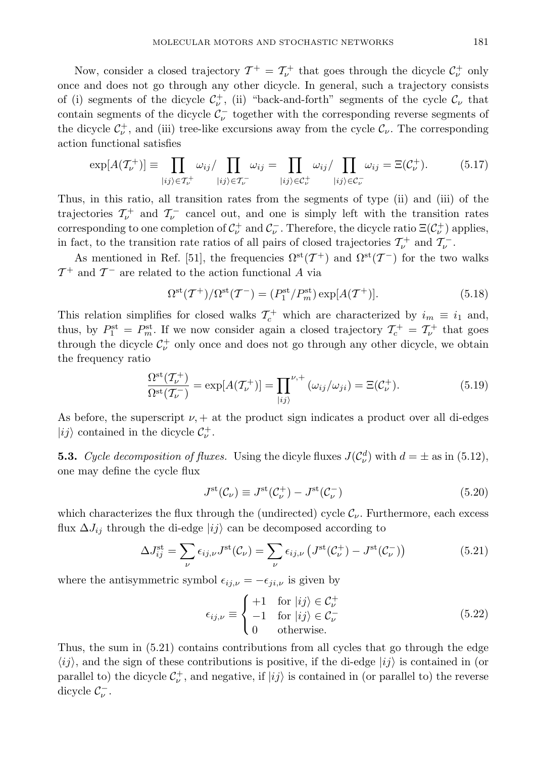Now, consider a closed trajectory  $\mathcal{T}^+ = \mathcal{T}^+_\nu$  that goes through the dicycle  $\mathcal{C}^+_\nu$  only once and does not go through any other dicycle. In general, such a trajectory consists of (i) segments of the dicycle  $\mathcal{C}^{\dagger}_{\nu}$ , (ii) "back-and-forth" segments of the cycle  $\mathcal{C}_{\nu}$  that contain segments of the dicycle  $\mathcal{C}^-_{\nu}$  together with the corresponding reverse segments of the dicycle  $C_{\nu}^+$ , and (iii) tree-like excursions away from the cycle  $C_{\nu}$ . The corresponding action functional satisfies

$$
\exp[A(\mathcal{T}_{\nu}^+)] \equiv \prod_{|ij\rangle \in \mathcal{T}_{\nu}^+} \omega_{ij} / \prod_{|ij\rangle \in \mathcal{T}_{\nu}^-} \omega_{ij} = \prod_{|ij\rangle \in \mathcal{C}_{\nu}^+} \omega_{ij} / \prod_{|ij\rangle \in \mathcal{C}_{\nu}^-} \omega_{ij} = \Xi(\mathcal{C}_{\nu}^+).
$$
(5.17)

Thus, in this ratio, all transition rates from the segments of type (ii) and (iii) of the trajectories  $\mathcal{T}^{\perp}_{\nu}$  and  $\mathcal{T}^-_{\nu}$  cancel out, and one is simply left with the transition rates corresponding to one completion of  $C_{\nu}^+$  and  $C_{\nu}^-$ . Therefore, the dicycle ratio  $\Xi(C_{\nu}^+)$  applies, in fact, to the transition rate ratios of all pairs of closed trajectories  $\mathcal{T}^+_\nu$  and  $\mathcal{T}^-_\nu$ .

As mentioned in Ref. [51], the frequencies  $\Omega^{\rm st}(\mathcal{T}^+)$  and  $\Omega^{\rm st}(\mathcal{T}^-)$  for the two walks  $\mathcal{T}^+$  and  $\mathcal{T}^-$  are related to the action functional A via

$$
\Omega^{\rm st}(\mathcal{T}^+)/\Omega^{\rm st}(\mathcal{T}^-) = (P_1^{\rm st}/P_m^{\rm st}) \exp[A(\mathcal{T}^+)].\tag{5.18}
$$

This relation simplifies for closed walks  $\mathcal{T}_c^+$  which are characterized by  $i_m \equiv i_1$  and, thus, by  $P_1^{\text{st}} = P_m^{\text{st}}$ . If we now consider again a closed trajectory  $\mathcal{T}_c^+ = \mathcal{T}_{\nu}^+$  that goes through the dicycle  $\mathcal{C}^{\pm}_{\nu}$  only once and does not go through any other dicycle, we obtain the frequency ratio

$$
\frac{\Omega^{\text{st}}(\mathcal{T}_{\nu}^{+})}{\Omega^{\text{st}}(\mathcal{T}_{\nu}^{-})} = \exp[A(\mathcal{T}_{\nu}^{+})] = \prod_{|ij\rangle}^{\nu,+} (\omega_{ij}/\omega_{ji}) = \Xi(\mathcal{C}_{\nu}^{+}).
$$
\n(5.19)

As before, the superscript  $\nu$ , + at the product sign indicates a product over all di-edges  $|ij\rangle$  contained in the dicycle  $\mathcal{C}^+_{\nu}$ .

**5.3.** Cycle decomposition of fluxes. Using the dicyle fluxes  $J(\mathcal{C}_{\nu}^{d})$  with  $d = \pm$  as in (5.12), one may define the cycle flux

$$
J^{\rm st}(\mathcal{C}_{\nu}) \equiv J^{\rm st}(\mathcal{C}_{\nu}^{+}) - J^{\rm st}(\mathcal{C}_{\nu}^{-})
$$
\n(5.20)

which characterizes the flux through the (undirected) cycle  $\mathcal{C}_{\nu}$ . Furthermore, each excess flux  $\Delta J_{ij}$  through the di-edge  $|ij\rangle$  can be decomposed according to

$$
\Delta J_{ij}^{\text{st}} = \sum_{\nu} \epsilon_{ij,\nu} J^{\text{st}}(\mathcal{C}_{\nu}) = \sum_{\nu} \epsilon_{ij,\nu} \left( J^{\text{st}}(\mathcal{C}_{\nu}^{+}) - J^{\text{st}}(\mathcal{C}_{\nu}^{-}) \right) \tag{5.21}
$$

where the antisymmetric symbol  $\epsilon_{ij,\nu} = -\epsilon_{ji,\nu}$  is given by

$$
\epsilon_{ij,\nu} \equiv \begin{cases}\n+1 & \text{for } |ij\rangle \in \mathcal{C}_{\nu}^{+} \\
-1 & \text{for } |ij\rangle \in \mathcal{C}_{\nu}^{-} \\
0 & \text{otherwise.} \n\end{cases}
$$
\n(5.22)

Thus, the sum in (5.21) contains contributions from all cycles that go through the edge  $\langle ij \rangle$ , and the sign of these contributions is positive, if the di-edge  $|i j \rangle$  is contained in (or parallel to) the dicycle  $C_{\nu}^{+}$ , and negative, if  $|ij\rangle$  is contained in (or parallel to) the reverse dicycle  $\mathcal{C}_{\nu}^-$ .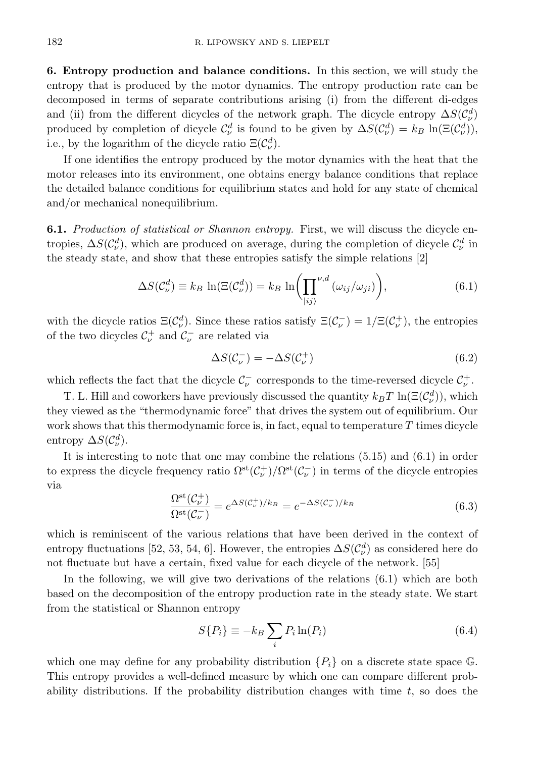6. Entropy production and balance conditions. In this section, we will study the entropy that is produced by the motor dynamics. The entropy production rate can be decomposed in terms of separate contributions arising (i) from the different di-edges and (ii) from the different dicycles of the network graph. The dicycle entropy  $\Delta S(\mathcal{C}^d_\nu)$ produced by completion of dicycle  $\mathcal{C}^d_\nu$  is found to be given by  $\Delta S(\mathcal{C}^d_\nu) = k_B \ln(\Xi(\mathcal{C}^d_\nu))$ , i.e., by the logarithm of the dicycle ratio  $\Xi(\mathcal{C}^d_\nu)$ .

If one identifies the entropy produced by the motor dynamics with the heat that the motor releases into its environment, one obtains energy balance conditions that replace the detailed balance conditions for equilibrium states and hold for any state of chemical and/or mechanical nonequilibrium.

6.1. Production of statistical or Shannon entropy. First, we will discuss the dicycle entropies,  $\Delta S(\mathcal{C}_{\nu}^d)$ , which are produced on average, during the completion of dicycle  $\mathcal{C}_{\nu}^d$  in the steady state, and show that these entropies satisfy the simple relations [2]

$$
\Delta S(\mathcal{C}_{\nu}^{d}) \equiv k_{B} \ln(\Xi(\mathcal{C}_{\nu}^{d})) = k_{B} \ln\left(\prod_{|ij\rangle}^{\nu,d} (\omega_{ij}/\omega_{ji})\right),\tag{6.1}
$$

with the dicycle ratios  $\Xi(\mathcal{C}_{\nu}^d)$ . Since these ratios satisfy  $\Xi(\mathcal{C}_{\nu}^-) = 1/\Xi(\mathcal{C}_{\nu}^+)$ , the entropies of the two dicycles  $\mathcal{C}^{\pm}_{\nu}$  and  $\mathcal{C}^-_{\nu}$  are related via

$$
\Delta S(\mathcal{C}_{\nu}^{-}) = -\Delta S(\mathcal{C}_{\nu}^{+})
$$
\n(6.2)

which reflects the fact that the dicycle  $\mathcal{C}_{\nu}^-$  corresponds to the time-reversed dicycle  $\mathcal{C}_{\nu}^+$ .

T. L. Hill and coworkers have previously discussed the quantity  $k_B T \ln(\Xi(\mathcal{C}_{\nu}^d))$ , which they viewed as the "thermodynamic force" that drives the system out of equilibrium. Our work shows that this thermodynamic force is, in fact, equal to temperature  $T$  times dicycle entropy  $\Delta S(\mathcal{C}^d_{\nu}).$ 

It is interesting to note that one may combine the relations (5.15) and (6.1) in order to express the dicycle frequency ratio  $\Omega^{st}(\mathcal{C}^+_\nu)/\Omega^{st}(\mathcal{C}^-_\nu)$  in terms of the dicycle entropies via

$$
\frac{\Omega^{\rm st}(\mathcal{C}_{\nu}^+)}{\Omega^{\rm st}(\mathcal{C}_{\nu}^-)} = e^{\Delta S(\mathcal{C}_{\nu}^+)/k_B} = e^{-\Delta S(\mathcal{C}_{\nu}^-)/k_B}
$$
(6.3)

which is reminiscent of the various relations that have been derived in the context of entropy fluctuations [52, 53, 54, 6]. However, the entropies  $\Delta S(\mathcal{C}^d_\nu)$  as considered here do not fluctuate but have a certain, fixed value for each dicycle of the network. [55]

In the following, we will give two derivations of the relations (6.1) which are both based on the decomposition of the entropy production rate in the steady state. We start from the statistical or Shannon entropy

$$
S\{P_i\} \equiv -k_B \sum_i P_i \ln(P_i) \tag{6.4}
$$

which one may define for any probability distribution  $\{P_i\}$  on a discrete state space G. This entropy provides a well-defined measure by which one can compare different probability distributions. If the probability distribution changes with time  $t$ , so does the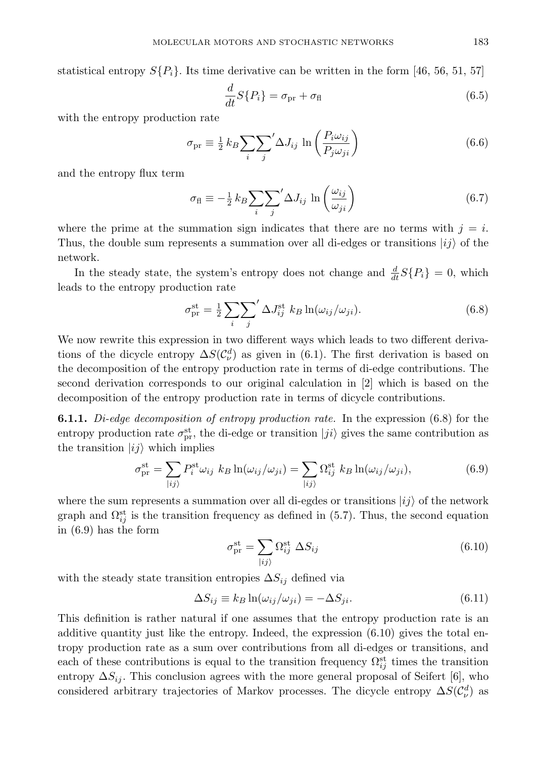statistical entropy  $S\{P_i\}$ . Its time derivative can be written in the form [46, 56, 51, 57]

$$
\frac{d}{dt}S\{P_i\} = \sigma_{\text{pr}} + \sigma_{\text{fl}} \tag{6.5}
$$

with the entropy production rate

$$
\sigma_{\text{pr}} \equiv \frac{1}{2} k_B \sum_{i} \sum_{j}^{\prime} \Delta J_{ij} \ln \left( \frac{P_i \omega_{ij}}{P_j \omega_{ji}} \right) \tag{6.6}
$$

and the entropy flux term

$$
\sigma_{\rm fl} \equiv -\frac{1}{2} k_B \sum_{i} \sum_{j}^{\prime} \Delta J_{ij} \ln \left( \frac{\omega_{ij}}{\omega_{ji}} \right) \tag{6.7}
$$

where the prime at the summation sign indicates that there are no terms with  $j = i$ . Thus, the double sum represents a summation over all di-edges or transitions  $|i j \rangle$  of the network.

In the steady state, the system's entropy does not change and  $\frac{d}{dt}S\{P_i\} = 0$ , which leads to the entropy production rate

$$
\sigma_{\text{pr}}^{\text{st}} = \frac{1}{2} \sum_{i} \sum_{j}^{\prime} \Delta J_{ij}^{\text{st}} k_B \ln(\omega_{ij}/\omega_{ji}). \tag{6.8}
$$

We now rewrite this expression in two different ways which leads to two different derivations of the dicycle entropy  $\Delta S(\mathcal{C}^d_\nu)$  as given in (6.1). The first derivation is based on the decomposition of the entropy production rate in terms of di-edge contributions. The second derivation corresponds to our original calculation in [2] which is based on the decomposition of the entropy production rate in terms of dicycle contributions.

**6.1.1.** Di-edge decomposition of entropy production rate. In the expression  $(6.8)$  for the entropy production rate  $\sigma_{\text{pr}}^{\text{st}}$ , the di-edge or transition  $|ji\rangle$  gives the same contribution as the transition  $|ij\rangle$  which implies

$$
\sigma_{\text{pr}}^{\text{st}} = \sum_{|ij\rangle} P_i^{\text{st}} \omega_{ij} \ k_B \ln(\omega_{ij}/\omega_{ji}) = \sum_{|ij\rangle} \Omega_{ij}^{\text{st}} \ k_B \ln(\omega_{ij}/\omega_{ji}),\tag{6.9}
$$

where the sum represents a summation over all di-egdes or transitions  $|ij\rangle$  of the network graph and  $\Omega_{ij}^{\text{st}}$  is the transition frequency as defined in (5.7). Thus, the second equation in (6.9) has the form

$$
\sigma_{\text{pr}}^{\text{st}} = \sum_{|ij\rangle} \Omega_{ij}^{\text{st}} \Delta S_{ij} \tag{6.10}
$$

with the steady state transition entropies  $\Delta S_{ij}$  defined via

$$
\Delta S_{ij} \equiv k_B \ln(\omega_{ij}/\omega_{ji}) = -\Delta S_{ji}.\tag{6.11}
$$

This definition is rather natural if one assumes that the entropy production rate is an additive quantity just like the entropy. Indeed, the expression (6.10) gives the total entropy production rate as a sum over contributions from all di-edges or transitions, and each of these contributions is equal to the transition frequency  $\Omega_{ij}^{\text{st}}$  times the transition entropy  $\Delta S_{ij}$ . This conclusion agrees with the more general proposal of Seifert [6], who considered arbitrary trajectories of Markov processes. The dicycle entropy  $\Delta S(\mathcal{C}^d_\nu)$  as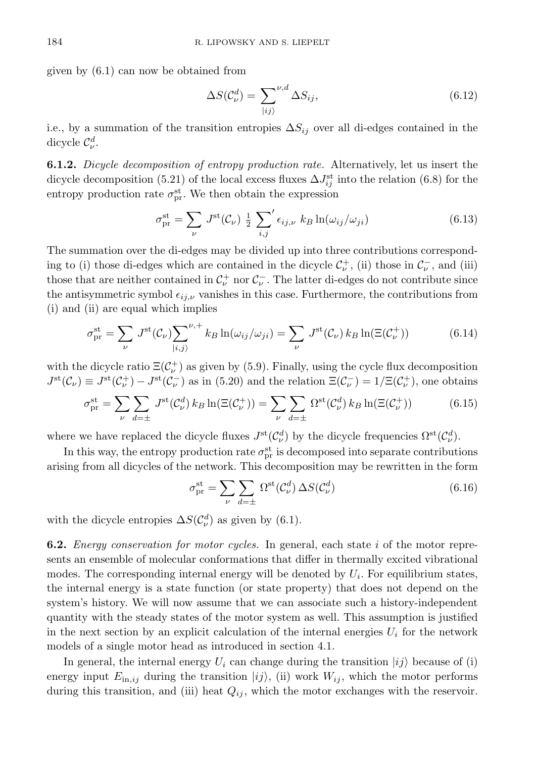given by (6.1) can now be obtained from

$$
\Delta S(\mathcal{C}_{\nu}^{d}) = \sum_{|ij\rangle}^{\nu,d} \Delta S_{ij},\tag{6.12}
$$

i.e., by a summation of the transition entropies  $\Delta S_{ij}$  over all di-edges contained in the dicycle  $\mathcal{C}_{\nu}^{d}$ .

6.1.2. Dicycle decomposition of entropy production rate. Alternatively, let us insert the dicycle decomposition (5.21) of the local excess fluxes  $\Delta J_{ij}^{\text{st}}$  into the relation (6.8) for the entropy production rate  $\sigma_{\text{pr}}^{\text{st}}$ . We then obtain the expression

$$
\sigma_{\rm pr}^{\rm st} = \sum_{\nu} J^{\rm st}(\mathcal{C}_{\nu}) \frac{1}{2} \sum_{i,j'} \epsilon_{ij,\nu} k_B \ln(\omega_{ij}/\omega_{ji}) \tag{6.13}
$$

The summation over the di-edges may be divided up into three contributions corresponding to (i) those di-edges which are contained in the dicycle  $\mathcal{C}^+_{\nu}$ , (ii) those in  $\mathcal{C}^-_{\nu}$ , and (iii) those that are neither contained in  $\mathcal{C}^{\perp}_{\nu}$  nor  $\mathcal{C}^-_{\nu}$ . The latter di-edges do not contribute since the antisymmetric symbol  $\epsilon_{ij,\nu}$  vanishes in this case. Furthermore, the contributions from (i) and (ii) are equal which implies

$$
\sigma_{\rm pr}^{\rm st} = \sum_{\nu} J^{\rm st}(\mathcal{C}_{\nu}) \sum_{|i,j\rangle}^{\nu,+} k_B \ln(\omega_{ij}/\omega_{ji}) = \sum_{\nu} J^{\rm st}(\mathcal{C}_{\nu}) k_B \ln(\Xi(\mathcal{C}_{\nu}^+))
$$
(6.14)

with the dicycle ratio  $\Xi(\mathcal{C}_{\nu}^+)$  as given by (5.9). Finally, using the cycle flux decomposition  $J^{\rm st}(\mathcal{C}_{\nu}) \equiv J^{\rm st}(\mathcal{C}_{\nu}^+) - J^{\rm st}(\mathcal{C}_{\nu}^-)$  as in (5.20) and the relation  $\Xi(\mathcal{C}_{\nu}^-) = 1/\Xi(\mathcal{C}_{\nu}^+)$ , one obtains

$$
\sigma_{\rm pr}^{\rm st} = \sum_{\nu} \sum_{d=\pm} J^{\rm st}(\mathcal{C}_{\nu}^d) k_B \ln(\Xi(\mathcal{C}_{\nu}^+)) = \sum_{\nu} \sum_{d=\pm} \Omega^{\rm st}(\mathcal{C}_{\nu}^d) k_B \ln(\Xi(\mathcal{C}_{\nu}^+)) \tag{6.15}
$$

where we have replaced the dicycle fluxes  $J^{\text{st}}(\mathcal{C}^d_\nu)$  by the dicycle frequencies  $\Omega^{\text{st}}(\mathcal{C}^d_\nu)$ .

In this way, the entropy production rate  $\sigma_{\text{pr}}^{\text{st}}$  is decomposed into separate contributions arising from all dicycles of the network. This decomposition may be rewritten in the form

$$
\sigma_{\rm pr}^{\rm st} = \sum_{\nu} \sum_{d=\pm} \Omega^{\rm st}(\mathcal{C}_{\nu}^d) \,\Delta S(\mathcal{C}_{\nu}^d) \tag{6.16}
$$

with the dicycle entropies  $\Delta S(\mathcal{C}^d_\nu)$  as given by (6.1).

**6.2.** Energy conservation for motor cycles. In general, each state  $i$  of the motor represents an ensemble of molecular conformations that differ in thermally excited vibrational modes. The corresponding internal energy will be denoted by  $U_i$ . For equilibrium states, the internal energy is a state function (or state property) that does not depend on the system's history. We will now assume that we can associate such a history-independent quantity with the steady states of the motor system as well. This assumption is justified in the next section by an explicit calculation of the internal energies  $U_i$  for the network models of a single motor head as introduced in section 4.1.

In general, the internal energy  $U_i$  can change during the transition  $|i_j\rangle$  because of (i) energy input  $E_{\text{in},ij}$  during the transition  $|ij\rangle$ , (ii) work  $W_{ij}$ , which the motor performs during this transition, and (iii) heat  $Q_{ij}$ , which the motor exchanges with the reservoir.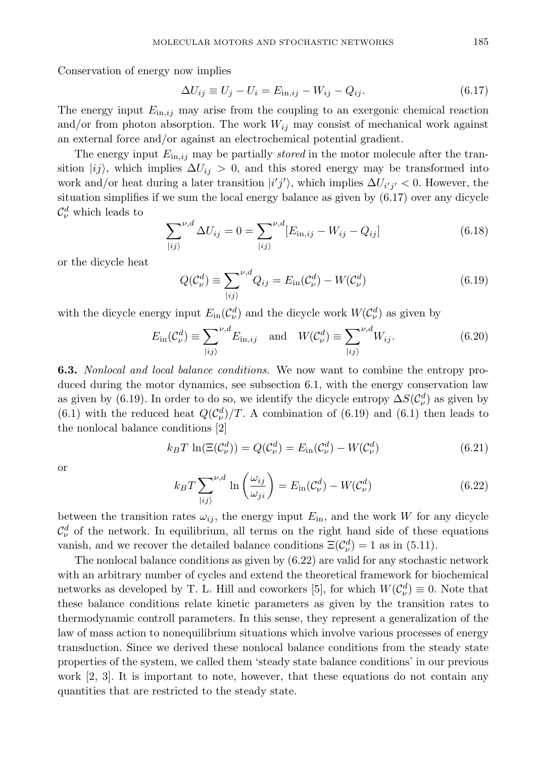Conservation of energy now implies

$$
\Delta U_{ij} \equiv U_j - U_i = E_{\text{in},ij} - W_{ij} - Q_{ij}.\tag{6.17}
$$

The energy input  $E_{\text{in},ij}$  may arise from the coupling to an exergonic chemical reaction and/or from photon absorption. The work  $W_{ij}$  may consist of mechanical work against an external force and/or against an electrochemical potential gradient.

The energy input  $E_{\text{in},i,j}$  may be partially *stored* in the motor molecule after the transition  $|ij\rangle$ , which implies  $\Delta U_{ij} > 0$ , and this stored energy may be transformed into work and/or heat during a later transition  $|i'j'\rangle$ , which implies  $\Delta U_{i'j'} < 0$ . However, the situation simplifies if we sum the local energy balance as given by (6.17) over any dicycle  $\mathcal{C}_{\nu}^{d}$  which leads to

$$
\sum_{|ij\rangle}^{\nu,d} \Delta U_{ij} = 0 = \sum_{|ij\rangle}^{\nu,d} [E_{\text{in},ij} - W_{ij} - Q_{ij}]
$$
 (6.18)

or the dicycle heat

$$
Q(\mathcal{C}_{\nu}^{d}) \equiv \sum_{|ij\rangle}^{\nu,d} Q_{ij} = E_{\text{in}}(\mathcal{C}_{\nu}^{d}) - W(\mathcal{C}_{\nu}^{d})
$$
\n(6.19)

with the dicycle energy input  $E_{\text{in}}(\mathcal{C}^d_\nu)$  and the dicycle work  $W(\mathcal{C}^d_\nu)$  as given by

$$
E_{\rm in}(\mathcal{C}_{\nu}^d) \equiv \sum_{|ij\rangle}^{\nu,d} E_{\rm in,ij} \quad \text{and} \quad W(\mathcal{C}_{\nu}^d) \equiv \sum_{|ij\rangle}^{\nu,d} W_{ij}.
$$
 (6.20)

6.3. Nonlocal and local balance conditions. We now want to combine the entropy produced during the motor dynamics, see subsection 6.1, with the energy conservation law as given by (6.19). In order to do so, we identify the dicycle entropy  $\Delta S(\mathcal{C}^d_\nu)$  as given by (6.1) with the reduced heat  $Q(\mathcal{C}_{\nu}^{d})/T$ . A combination of (6.19) and (6.1) then leads to the nonlocal balance conditions [2]

$$
k_B T \ln(\Xi(\mathcal{C}^d_\nu)) = Q(\mathcal{C}^d_\nu) = E_{\text{in}}(\mathcal{C}^d_\nu) - W(\mathcal{C}^d_\nu)
$$
\n(6.21)

or

$$
k_B T \sum_{|ij\rangle}^{\nu,d} \ln\left(\frac{\omega_{ij}}{\omega_{ji}}\right) = E_{\text{in}}(\mathcal{C}^d_{\nu}) - W(\mathcal{C}^d_{\nu})
$$
\n(6.22)

between the transition rates  $\omega_{ij}$ , the energy input  $E_{\text{in}}$ , and the work W for any dicycle  $\mathcal{C}_{\nu}^{d}$  of the network. In equilibrium, all terms on the right hand side of these equations vanish, and we recover the detailed balance conditions  $\Xi(\mathcal{C}_{\nu}^d) = 1$  as in (5.11).

The nonlocal balance conditions as given by (6.22) are valid for any stochastic network with an arbitrary number of cycles and extend the theoretical framework for biochemical networks as developed by T. L. Hill and coworkers [5], for which  $W(\mathcal{C}_{\nu}^d) \equiv 0$ . Note that these balance conditions relate kinetic parameters as given by the transition rates to thermodynamic controll parameters. In this sense, they represent a generalization of the law of mass action to nonequilibrium situations which involve various processes of energy transduction. Since we derived these nonlocal balance conditions from the steady state properties of the system, we called them 'steady state balance conditions' in our previous work [2, 3]. It is important to note, however, that these equations do not contain any quantities that are restricted to the steady state.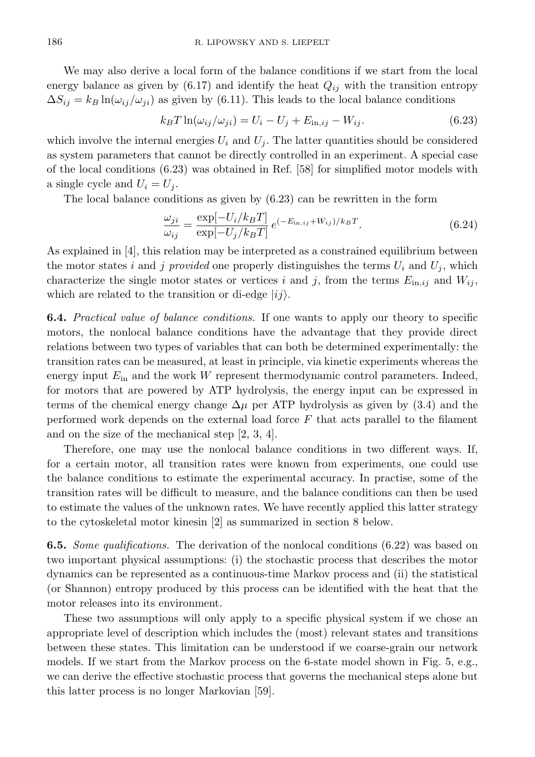We may also derive a local form of the balance conditions if we start from the local energy balance as given by  $(6.17)$  and identify the heat  $Q_{ij}$  with the transition entropy  $\Delta S_{ij} = k_B \ln(\omega_{ij}/\omega_{ji})$  as given by (6.11). This leads to the local balance conditions

$$
k_B T \ln(\omega_{ij}/\omega_{ji}) = U_i - U_j + E_{\text{in},ij} - W_{ij}.
$$
\n
$$
(6.23)
$$

which involve the internal energies  $U_i$  and  $U_j$ . The latter quantities should be considered as system parameters that cannot be directly controlled in an experiment. A special case of the local conditions (6.23) was obtained in Ref. [58] for simplified motor models with a single cycle and  $U_i = U_j$ .

The local balance conditions as given by (6.23) can be rewritten in the form

$$
\frac{\omega_{ji}}{\omega_{ij}} = \frac{\exp[-U_i/k_BT]}{\exp[-U_j/k_BT]} e^{(-E_{\text{in},ij} + W_{ij})/k_BT}.
$$
\n(6.24)

As explained in [4], this relation may be interpreted as a constrained equilibrium between the motor states i and j provided one properly distinguishes the terms  $U_i$  and  $U_j$ , which characterize the single motor states or vertices i and j, from the terms  $E_{\text{in},ij}$  and  $W_{ij}$ , which are related to the transition or di-edge  $|ij\rangle$ .

6.4. Practical value of balance conditions. If one wants to apply our theory to specific motors, the nonlocal balance conditions have the advantage that they provide direct relations between two types of variables that can both be determined experimentally: the transition rates can be measured, at least in principle, via kinetic experiments whereas the energy input  $E_{\text{in}}$  and the work W represent thermodynamic control parameters. Indeed, for motors that are powered by ATP hydrolysis, the energy input can be expressed in terms of the chemical energy change  $\Delta \mu$  per ATP hydrolysis as given by (3.4) and the performed work depends on the external load force  $F$  that acts parallel to the filament and on the size of the mechanical step [2, 3, 4].

Therefore, one may use the nonlocal balance conditions in two different ways. If, for a certain motor, all transition rates were known from experiments, one could use the balance conditions to estimate the experimental accuracy. In practise, some of the transition rates will be difficult to measure, and the balance conditions can then be used to estimate the values of the unknown rates. We have recently applied this latter strategy to the cytoskeletal motor kinesin [2] as summarized in section 8 below.

**6.5.** Some qualifications. The derivation of the nonlocal conditions (6.22) was based on two important physical assumptions: (i) the stochastic process that describes the motor dynamics can be represented as a continuous-time Markov process and (ii) the statistical (or Shannon) entropy produced by this process can be identified with the heat that the motor releases into its environment.

These two assumptions will only apply to a specific physical system if we chose an appropriate level of description which includes the (most) relevant states and transitions between these states. This limitation can be understood if we coarse-grain our network models. If we start from the Markov process on the 6-state model shown in Fig. 5, e.g., we can derive the effective stochastic process that governs the mechanical steps alone but this latter process is no longer Markovian [59].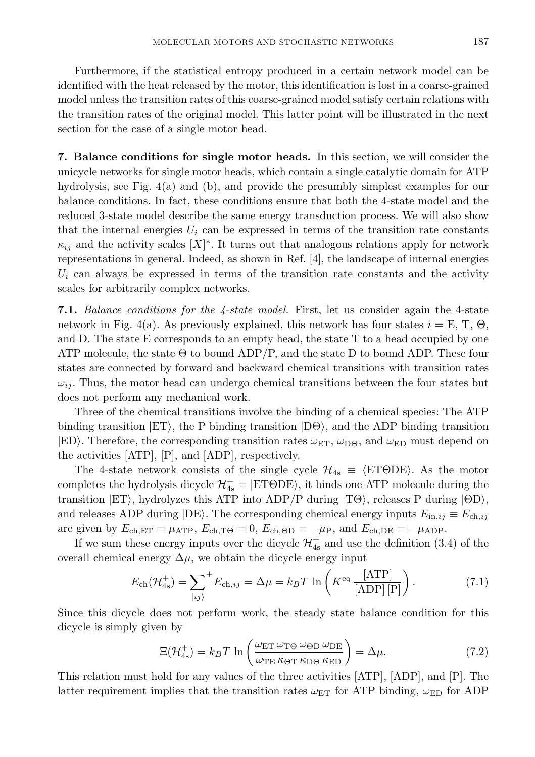Furthermore, if the statistical entropy produced in a certain network model can be identified with the heat released by the motor, this identification is lost in a coarse-grained model unless the transition rates of this coarse-grained model satisfy certain relations with the transition rates of the original model. This latter point will be illustrated in the next section for the case of a single motor head.

7. Balance conditions for single motor heads. In this section, we will consider the unicycle networks for single motor heads, which contain a single catalytic domain for ATP hydrolysis, see Fig. 4(a) and (b), and provide the presumbly simplest examples for our balance conditions. In fact, these conditions ensure that both the 4-state model and the reduced 3-state model describe the same energy transduction process. We will also show that the internal energies  $U_i$  can be expressed in terms of the transition rate constants  $\kappa_{ij}$  and the activity scales  $[X]^*$ . It turns out that analogous relations apply for network representations in general. Indeed, as shown in Ref. [4], the landscape of internal energies  $U_i$  can always be expressed in terms of the transition rate constants and the activity scales for arbitrarily complex networks.

7.1. Balance conditions for the 4-state model. First, let us consider again the 4-state network in Fig. 4(a). As previously explained, this network has four states  $i = E, T, \Theta$ , and D. The state E corresponds to an empty head, the state T to a head occupied by one ATP molecule, the state  $\Theta$  to bound ADP/P, and the state D to bound ADP. These four states are connected by forward and backward chemical transitions with transition rates  $\omega_{ij}$ . Thus, the motor head can undergo chemical transitions between the four states but does not perform any mechanical work.

Three of the chemical transitions involve the binding of a chemical species: The ATP binding transition  $|ET\rangle$ , the P binding transition  $|D\Theta\rangle$ , and the ADP binding transition  $|ED\rangle$ . Therefore, the corresponding transition rates  $\omega_{ET}$ ,  $\omega_{D\Theta}$ , and  $\omega_{ED}$  must depend on the activities [ATP], [P], and [ADP], respectively.

The 4-state network consists of the single cycle  $\mathcal{H}_{4s} \equiv \langle ET\Theta DE \rangle$ . As the motor completes the hydrolysis dicycle  $\mathcal{H}^+_{4s} = |ET\Theta DE\rangle$ , it binds one ATP molecule during the transition  $|ET\rangle$ , hydrolyzes this ATP into ADP/P during  $|TO\rangle$ , releases P during  $|OD\rangle$ , and releases ADP during  $|DE\rangle$ . The corresponding chemical energy inputs  $E_{\text{in},ij} \equiv E_{\text{ch},ij}$ are given by  $E_{ch,ET} = \mu_{ATP}$ ,  $E_{ch,TO} = 0$ ,  $E_{ch,OD} = -\mu_{P}$ , and  $E_{ch,DE} = -\mu_{ADP}$ .

If we sum these energy inputs over the dicycle  $\mathcal{H}^+_{4s}$  and use the definition (3.4) of the overall chemical energy  $\Delta \mu$ , we obtain the dicycle energy input

$$
E_{\rm ch}(\mathcal{H}_{\rm ds}^+) = \sum_{|ij\rangle}^+ E_{\rm ch,ij} = \Delta\mu = k_B T \ln\left(K^{\rm eq} \frac{[\rm ATP]}{[\rm ADP][P]}\right). \tag{7.1}
$$

Since this dicycle does not perform work, the steady state balance condition for this dicycle is simply given by

$$
\Xi(\mathcal{H}_{4s}^{+}) = k_B T \ln \left( \frac{\omega_{ET} \omega_{TO} \omega_{OD} \omega_{DE}}{\omega_{TE} \kappa_{OT} \kappa_{DO} \kappa_{ED}} \right) = \Delta \mu.
$$
 (7.2)

This relation must hold for any values of the three activities [ATP], [ADP], and [P]. The latter requirement implies that the transition rates  $\omega_{ET}$  for ATP binding,  $\omega_{ED}$  for ADP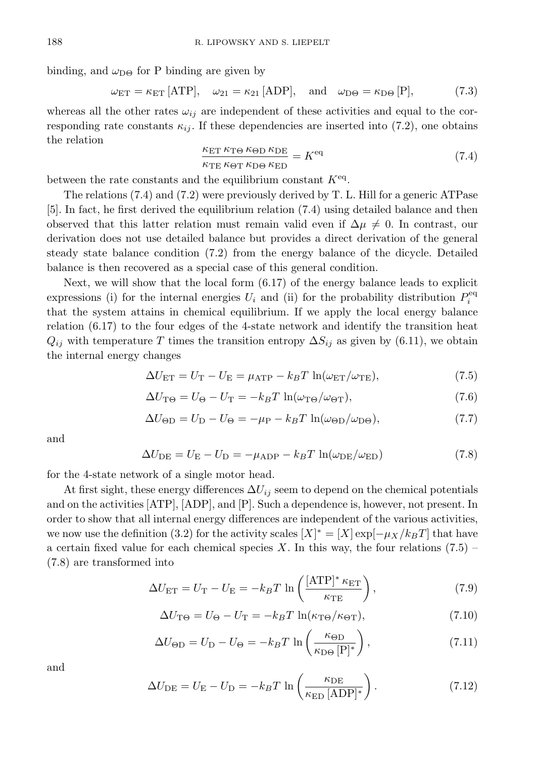binding, and  $\omega_{\text{D}\Theta}$  for P binding are given by

$$
\omega_{ET} = \kappa_{ET} \text{[ATP]}, \quad \omega_{21} = \kappa_{21} \text{[ADP]}, \quad \text{and} \quad \omega_{\text{D}\Theta} = \kappa_{\text{D}\Theta} \text{[P]}, \tag{7.3}
$$

whereas all the other rates  $\omega_{ij}$  are independent of these activities and equal to the corresponding rate constants  $\kappa_{ij}$ . If these dependencies are inserted into (7.2), one obtains the relation

$$
\frac{\kappa_{\rm ET} \kappa_{\rm TO} \kappa_{\Theta D} \kappa_{\rm DE}}{\kappa_{\rm TE} \kappa_{\Theta T} \kappa_{\rm DO} \kappa_{\rm ED}} = K^{\rm eq} \tag{7.4}
$$

between the rate constants and the equilibrium constant  $K<sup>eq</sup>$ .

The relations (7.4) and (7.2) were previously derived by T. L. Hill for a generic ATPase [5]. In fact, he first derived the equilibrium relation (7.4) using detailed balance and then observed that this latter relation must remain valid even if  $\Delta \mu \neq 0$ . In contrast, our derivation does not use detailed balance but provides a direct derivation of the general steady state balance condition (7.2) from the energy balance of the dicycle. Detailed balance is then recovered as a special case of this general condition.

Next, we will show that the local form (6.17) of the energy balance leads to explicit expressions (i) for the internal energies  $U_i$  and (ii) for the probability distribution  $P_i^{\text{eq}}$ that the system attains in chemical equilibrium. If we apply the local energy balance relation (6.17) to the four edges of the 4-state network and identify the transition heat  $Q_{ij}$  with temperature T times the transition entropy  $\Delta S_{ij}$  as given by (6.11), we obtain the internal energy changes

$$
\Delta U_{\rm ET} = U_{\rm T} - U_{\rm E} = \mu_{\rm ATP} - k_B T \ln(\omega_{\rm ET}/\omega_{\rm TE}),\tag{7.5}
$$

$$
\Delta U_{\rm T\Theta} = U_{\Theta} - U_{\rm T} = -k_B T \ln(\omega_{\rm T\Theta}/\omega_{\rm \Theta T}),\tag{7.6}
$$

$$
\Delta U_{\Theta D} = U_{\Theta} - U_{\Theta} = -\mu_{\rm P} - k_B T \ln(\omega_{\Theta D}/\omega_{\rm D\Theta}),\tag{7.7}
$$

and

$$
\Delta U_{\rm DE} = U_{\rm E} - U_{\rm D} = -\mu_{\rm ADP} - k_B T \ln(\omega_{\rm DE}/\omega_{\rm ED})
$$
\n(7.8)

for the 4-state network of a single motor head.

At first sight, these energy differences  $\Delta U_{ij}$  seem to depend on the chemical potentials and on the activities [ATP], [ADP], and [P]. Such a dependence is, however, not present. In order to show that all internal energy differences are independent of the various activities, we now use the definition (3.2) for the activity scales  $[X]^* = [X] \exp[-\mu_X/k_B T]$  that have a certain fixed value for each chemical species X. In this way, the four relations  $(7.5)$ (7.8) are transformed into

$$
\Delta U_{\rm ET} = U_{\rm T} - U_{\rm E} = -k_B T \ln \left( \frac{[\rm ATP]^* \kappa_{\rm ET}}{\kappa_{\rm TE}} \right),\tag{7.9}
$$

$$
\Delta U_{\rm T\Theta} = U_{\Theta} - U_{\rm T} = -k_B T \ln(\kappa_{\rm T\Theta}/\kappa_{\rm \Theta T}),\tag{7.10}
$$

$$
\Delta U_{\Theta D} = U_{\Theta} - U_{\Theta} = -k_B T \ln \left( \frac{\kappa_{\Theta D}}{\kappa_{\Theta \Theta} [\mathbf{P}]^*} \right),\tag{7.11}
$$

and

$$
\Delta U_{\rm DE} = U_{\rm E} - U_{\rm D} = -k_B T \ln \left( \frac{\kappa_{\rm DE}}{\kappa_{\rm ED} \, [\rm ADP]^*} \right). \tag{7.12}
$$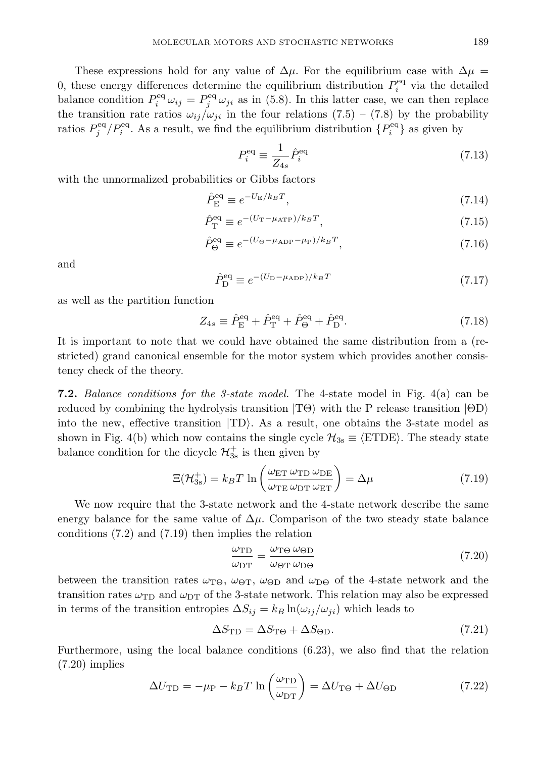These expressions hold for any value of  $\Delta \mu$ . For the equilibrium case with  $\Delta \mu$ 0, these energy differences determine the equilibrium distribution  $P_i^{\text{eq}}$  via the detailed balance condition  $P_i^{\text{eq}} \omega_{ij} = P_j^{\text{eq}} \omega_{ji}$  as in (5.8). In this latter case, we can then replace the transition rate ratios  $\omega_{ij}/\omega_{ji}$  in the four relations (7.5) – (7.8) by the probability ratios  $P_j^{\text{eq}}/P_i^{\text{eq}}$ . As a result, we find the equilibrium distribution  ${P_i^{\text{eq}}}$  as given by

$$
P_i^{\text{eq}} \equiv \frac{1}{Z_{4s}} \hat{P}_i^{\text{eq}} \tag{7.13}
$$

with the unnormalized probabilities or Gibbs factors

$$
\hat{P}_{\rm E}^{\rm eq} \equiv e^{-U_{\rm E}/k_B T},\tag{7.14}
$$

$$
\hat{P}_{\rm T}^{\rm eq} \equiv e^{-(U_{\rm T} - \mu_{\rm ATP})/k_B T},\tag{7.15}
$$

$$
\hat{P}_{\Theta}^{\text{eq}} \equiv e^{-(U_{\Theta} - \mu_{\text{ADP}} - \mu_{\text{P}})/k_{B}T},\tag{7.16}
$$

and

$$
\hat{P}_{\text{D}}^{\text{eq}} \equiv e^{-(U_{\text{D}} - \mu_{\text{ADP}})/k_B T} \tag{7.17}
$$

as well as the partition function

$$
Z_{4s} \equiv \hat{P}_{\rm E}^{\rm eq} + \hat{P}_{\rm T}^{\rm eq} + \hat{P}_{\Theta}^{\rm eq} + \hat{P}_{\rm D}^{\rm eq}.
$$
 (7.18)

It is important to note that we could have obtained the same distribution from a (restricted) grand canonical ensemble for the motor system which provides another consistency check of the theory.

7.2. Balance conditions for the 3-state model. The 4-state model in Fig. 4(a) can be reduced by combining the hydrolysis transition  $|T\Theta\rangle$  with the P release transition  $|\Theta D\rangle$ into the new, effective transition  $|TD\rangle$ . As a result, one obtains the 3-state model as shown in Fig. 4(b) which now contains the single cycle  $\mathcal{H}_{3s} \equiv \langle \text{ETDE} \rangle$ . The steady state balance condition for the dicycle  $\mathcal{H}^+_{3s}$  is then given by

$$
\Xi(\mathcal{H}_{3s}^{+}) = k_B T \ln \left( \frac{\omega_{ET} \omega_{TD} \omega_{DE}}{\omega_{TE} \omega_{DT} \omega_{ET}} \right) = \Delta \mu \tag{7.19}
$$

We now require that the 3-state network and the 4-state network describe the same energy balance for the same value of  $\Delta \mu$ . Comparison of the two steady state balance conditions (7.2) and (7.19) then implies the relation

$$
\frac{\omega_{\rm TD}}{\omega_{\rm DT}} = \frac{\omega_{\rm TO} \omega_{\rm \Theta D}}{\omega_{\rm \Theta T} \omega_{\rm D\Theta}}\tag{7.20}
$$

between the transition rates  $\omega_{\text{TO}}$ ,  $\omega_{\text{OT}}$ ,  $\omega_{\text{OD}}$  and  $\omega_{\text{DO}}$  of the 4-state network and the transition rates  $\omega_{\text{TD}}$  and  $\omega_{\text{DT}}$  of the 3-state network. This relation may also be expressed in terms of the transition entropies  $\Delta S_{ij} = k_B \ln(\omega_{ij}/\omega_{ji})$  which leads to

$$
\Delta S_{\rm TD} = \Delta S_{\rm T\Theta} + \Delta S_{\rm \Theta D}.\tag{7.21}
$$

Furthermore, using the local balance conditions (6.23), we also find that the relation (7.20) implies

$$
\Delta U_{\rm TD} = -\mu_{\rm P} - k_B T \ln \left( \frac{\omega_{\rm TD}}{\omega_{\rm DT}} \right) = \Delta U_{\rm TO} + \Delta U_{\rm \Theta D} \tag{7.22}
$$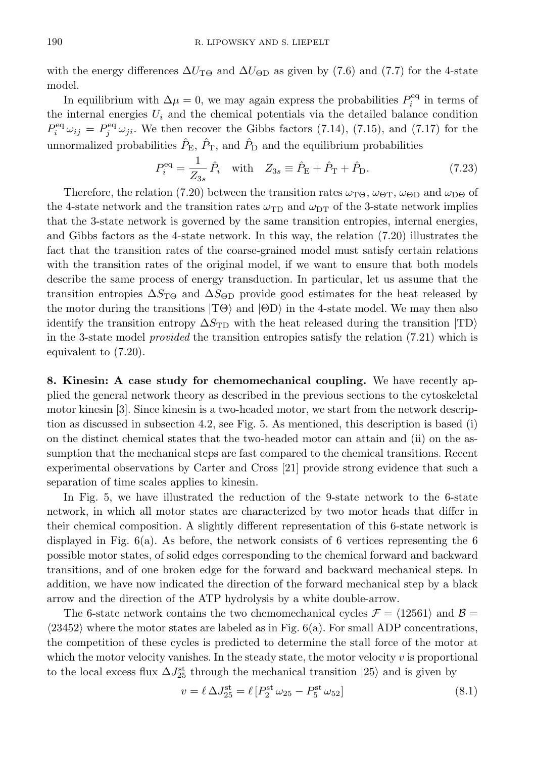with the energy differences  $\Delta U_{\text{TB}}$  and  $\Delta U_{\text{OD}}$  as given by (7.6) and (7.7) for the 4-state model.

In equilibrium with  $\Delta \mu = 0$ , we may again express the probabilities  $P_i^{\text{eq}}$  in terms of the internal energies  $U_i$  and the chemical potentials via the detailed balance condition  $P_i^{\text{eq}}\omega_{ij} = P_j^{\text{eq}}\omega_{ji}$ . We then recover the Gibbs factors (7.14), (7.15), and (7.17) for the unnormalized probabilities  $\hat{P}_{\text{E}}$ ,  $\hat{P}_{\text{T}}$ , and  $\hat{P}_{\text{D}}$  and the equilibrium probabilities

$$
P_i^{\text{eq}} = \frac{1}{Z_{3s}} \hat{P}_i \quad \text{with} \quad Z_{3s} \equiv \hat{P}_{\text{E}} + \hat{P}_{\text{T}} + \hat{P}_{\text{D}}.
$$
 (7.23)

Therefore, the relation (7.20) between the transition rates  $\omega_{\text{Te}}$ ,  $\omega_{\text{PT}}$ ,  $\omega_{\text{CD}}$  and  $\omega_{\text{D}\Theta}$  of the 4-state network and the transition rates  $\omega_{\text{TD}}$  and  $\omega_{\text{DT}}$  of the 3-state network implies that the 3-state network is governed by the same transition entropies, internal energies, and Gibbs factors as the 4-state network. In this way, the relation (7.20) illustrates the fact that the transition rates of the coarse-grained model must satisfy certain relations with the transition rates of the original model, if we want to ensure that both models describe the same process of energy transduction. In particular, let us assume that the transition entropies  $\Delta S_{\text{TO}}$  and  $\Delta S_{\text{OD}}$  provide good estimates for the heat released by the motor during the transitions  $|T\Theta\rangle$  and  $|\Theta D\rangle$  in the 4-state model. We may then also identify the transition entropy  $\Delta S_{\text{TD}}$  with the heat released during the transition  $|\text{TD}\rangle$ in the 3-state model provided the transition entropies satisfy the relation (7.21) which is equivalent to (7.20).

8. Kinesin: A case study for chemomechanical coupling. We have recently applied the general network theory as described in the previous sections to the cytoskeletal motor kinesin [3]. Since kinesin is a two-headed motor, we start from the network description as discussed in subsection 4.2, see Fig. 5. As mentioned, this description is based (i) on the distinct chemical states that the two-headed motor can attain and (ii) on the assumption that the mechanical steps are fast compared to the chemical transitions. Recent experimental observations by Carter and Cross [21] provide strong evidence that such a separation of time scales applies to kinesin.

In Fig. 5, we have illustrated the reduction of the 9-state network to the 6-state network, in which all motor states are characterized by two motor heads that differ in their chemical composition. A slightly different representation of this 6-state network is displayed in Fig. 6(a). As before, the network consists of 6 vertices representing the 6 possible motor states, of solid edges corresponding to the chemical forward and backward transitions, and of one broken edge for the forward and backward mechanical steps. In addition, we have now indicated the direction of the forward mechanical step by a black arrow and the direction of the ATP hydrolysis by a white double-arrow.

The 6-state network contains the two chemomechanical cycles  $\mathcal{F} = \langle 12561 \rangle$  and  $\mathcal{B} =$  $\langle 23452 \rangle$  where the motor states are labeled as in Fig. 6(a). For small ADP concentrations, the competition of these cycles is predicted to determine the stall force of the motor at which the motor velocity vanishes. In the steady state, the motor velocity v is proportional to the local excess flux  $\Delta J_{25}^{\text{st}}$  through the mechanical transition  $|25\rangle$  and is given by

$$
v = \ell \,\Delta J_{25}^{\rm st} = \ell \left[ P_2^{\rm st} \,\omega_{25} - P_5^{\rm st} \,\omega_{52} \right] \tag{8.1}
$$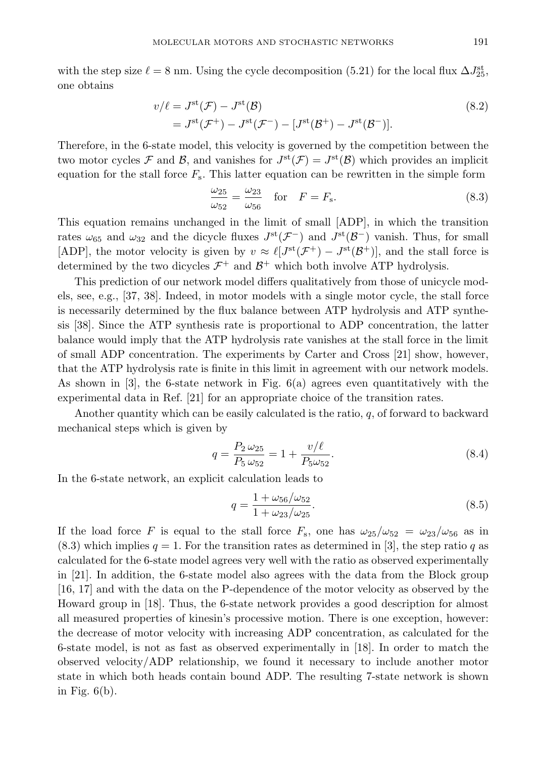with the step size  $\ell = 8$  nm. Using the cycle decomposition (5.21) for the local flux  $\Delta J_{25}^{\text{st}}$ , one obtains

$$
v/\ell = J^{\text{st}}(\mathcal{F}) - J^{\text{st}}(\mathcal{B})
$$
  
=  $J^{\text{st}}(\mathcal{F}^+) - J^{\text{st}}(\mathcal{F}^-) - [J^{\text{st}}(\mathcal{B}^+) - J^{\text{st}}(\mathcal{B}^-)].$  (8.2)

Therefore, in the 6-state model, this velocity is governed by the competition between the two motor cycles F and B, and vanishes for  $J^{st}(\mathcal{F}) = J^{st}(\mathcal{B})$  which provides an implicit equation for the stall force  $F_s$ . This latter equation can be rewritten in the simple form

$$
\frac{\omega_{25}}{\omega_{52}} = \frac{\omega_{23}}{\omega_{56}} \quad \text{for} \quad F = F_{\text{s}}.
$$
\n
$$
(8.3)
$$

This equation remains unchanged in the limit of small [ADP], in which the transition rates  $\omega_{65}$  and  $\omega_{32}$  and the dicycle fluxes  $J^{\rm st}(\mathcal{F}^-)$  and  $J^{\rm st}(\mathcal{B}^-)$  vanish. Thus, for small [ADP], the motor velocity is given by  $v \approx \ell[J^{\text{st}}(\mathcal{F}^+) - J^{\text{st}}(\mathcal{B}^+)]$ , and the stall force is determined by the two dicycles  $\mathcal{F}^+$  and  $\mathcal{B}^+$  which both involve ATP hydrolysis.

This prediction of our network model differs qualitatively from those of unicycle models, see, e.g., [37, 38]. Indeed, in motor models with a single motor cycle, the stall force is necessarily determined by the flux balance between ATP hydrolysis and ATP synthesis [38]. Since the ATP synthesis rate is proportional to ADP concentration, the latter balance would imply that the ATP hydrolysis rate vanishes at the stall force in the limit of small ADP concentration. The experiments by Carter and Cross [21] show, however, that the ATP hydrolysis rate is finite in this limit in agreement with our network models. As shown in  $[3]$ , the 6-state network in Fig.  $6(a)$  agrees even quantitatively with the experimental data in Ref. [21] for an appropriate choice of the transition rates.

Another quantity which can be easily calculated is the ratio,  $q$ , of forward to backward mechanical steps which is given by

$$
q = \frac{P_2 \omega_{25}}{P_5 \omega_{52}} = 1 + \frac{v/\ell}{P_5 \omega_{52}}.
$$
\n(8.4)

In the 6-state network, an explicit calculation leads to

$$
q = \frac{1 + \omega_{56}/\omega_{52}}{1 + \omega_{23}/\omega_{25}}.\tag{8.5}
$$

If the load force F is equal to the stall force  $F_s$ , one has  $\omega_{25}/\omega_{52} = \omega_{23}/\omega_{56}$  as in  $(8.3)$  which implies  $q = 1$ . For the transition rates as determined in [3], the step ratio q as calculated for the 6-state model agrees very well with the ratio as observed experimentally in [21]. In addition, the 6-state model also agrees with the data from the Block group [16, 17] and with the data on the P-dependence of the motor velocity as observed by the Howard group in [18]. Thus, the 6-state network provides a good description for almost all measured properties of kinesin's processive motion. There is one exception, however: the decrease of motor velocity with increasing ADP concentration, as calculated for the 6-state model, is not as fast as observed experimentally in [18]. In order to match the observed velocity/ADP relationship, we found it necessary to include another motor state in which both heads contain bound ADP. The resulting 7-state network is shown in Fig.  $6(b)$ .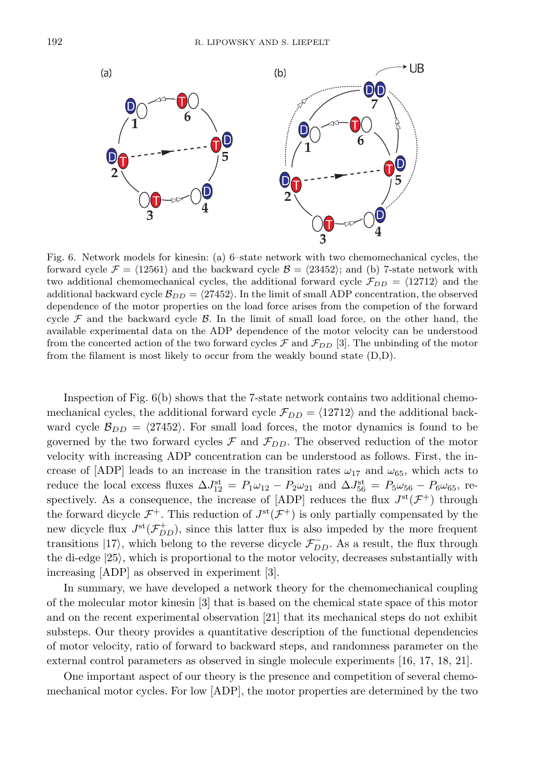

Fig. 6. Network models for kinesin: (a) 6–state network with two chemomechanical cycles, the forward cycle  $\mathcal{F} = \langle 12561 \rangle$  and the backward cycle  $\mathcal{B} = \langle 23452 \rangle$ ; and (b) 7-state network with two additional chemomechanical cycles, the additional forward cycle  $\mathcal{F}_{DD} = \langle 12712 \rangle$  and the additional backward cycle  $\mathcal{B}_{DD} = \langle 27452 \rangle$ . In the limit of small ADP concentration, the observed dependence of the motor properties on the load force arises from the competion of the forward cycle  $\mathcal F$  and the backward cycle  $\mathcal B$ . In the limit of small load force, on the other hand, the available experimental data on the ADP dependence of the motor velocity can be understood from the concerted action of the two forward cycles  $\mathcal F$  and  $\mathcal F_{DD}$  [3]. The unbinding of the motor from the filament is most likely to occur from the weakly bound state (D,D).

Inspection of Fig. 6(b) shows that the 7-state network contains two additional chemomechanical cycles, the additional forward cycle  $\mathcal{F}_{DD} = \langle 12712 \rangle$  and the additional backward cycle  $\mathcal{B}_{DD} = \langle 27452 \rangle$ . For small load forces, the motor dynamics is found to be governed by the two forward cycles  $\mathcal F$  and  $\mathcal F_{DD}$ . The observed reduction of the motor velocity with increasing ADP concentration can be understood as follows. First, the increase of [ADP] leads to an increase in the transition rates  $\omega_{17}$  and  $\omega_{65}$ , which acts to reduce the local excess fluxes  $\Delta J_{12}^{\rm st} = P_1 \omega_{12} - P_2 \omega_{21}$  and  $\Delta J_{56}^{\rm st} = P_5 \omega_{56} - P_6 \omega_{65}$ , respectively. As a consequence, the increase of [ADP] reduces the flux  $J<sup>st</sup>(\mathcal{F}^+)$  through the forward dicycle  $\mathcal{F}^+$ . This reduction of  $J^{\rm st}(\mathcal{F}^+)$  is only partially compensated by the new dicycle flux  $J^{\text{st}}(\mathcal{F}_{DD}^+)$ , since this latter flux is also impeded by the more frequent transitions  $|17\rangle$ , which belong to the reverse dicycle  $\mathcal{F}_{DD}^-$ . As a result, the flux through the di-edge  $|25\rangle$ , which is proportional to the motor velocity, decreases substantially with increasing [ADP] as observed in experiment [3].

In summary, we have developed a network theory for the chemomechanical coupling of the molecular motor kinesin [3] that is based on the chemical state space of this motor and on the recent experimental observation [21] that its mechanical steps do not exhibit substeps. Our theory provides a quantitative description of the functional dependencies of motor velocity, ratio of forward to backward steps, and randomness parameter on the external control parameters as observed in single molecule experiments [16, 17, 18, 21].

One important aspect of our theory is the presence and competition of several chemomechanical motor cycles. For low [ADP], the motor properties are determined by the two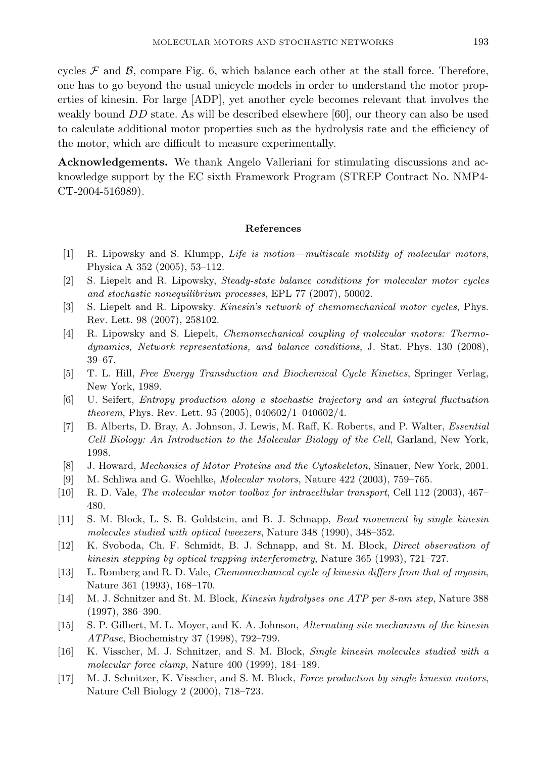cycles  $\mathcal F$  and  $\mathcal B$ , compare Fig. 6, which balance each other at the stall force. Therefore, one has to go beyond the usual unicycle models in order to understand the motor properties of kinesin. For large [ADP], yet another cycle becomes relevant that involves the weakly bound DD state. As will be described elsewhere [60], our theory can also be used to calculate additional motor properties such as the hydrolysis rate and the efficiency of the motor, which are difficult to measure experimentally.

Acknowledgements. We thank Angelo Valleriani for stimulating discussions and acknowledge support by the EC sixth Framework Program (STREP Contract No. NMP4- CT-2004-516989).

## References

- [1] R. Lipowsky and S. Klumpp, Life is motion—multiscale motility of molecular motors, Physica A 352 (2005), 53–112.
- [2] S. Liepelt and R. Lipowsky, Steady-state balance conditions for molecular motor cycles and stochastic nonequilibrium processes, EPL 77 (2007), 50002.
- [3] S. Liepelt and R. Lipowsky. Kinesin's network of chemomechanical motor cycles, Phys. Rev. Lett. 98 (2007), 258102.
- [4] R. Lipowsky and S. Liepelt, Chemomechanical coupling of molecular motors: Thermodynamics, Network representations, and balance conditions, J. Stat. Phys. 130 (2008), 39–67.
- [5] T. L. Hill, Free Energy Transduction and Biochemical Cycle Kinetics, Springer Verlag, New York, 1989.
- [6] U. Seifert, Entropy production along a stochastic trajectory and an integral fluctuation theorem, Phys. Rev. Lett. 95 (2005), 040602/1–040602/4.
- [7] B. Alberts, D. Bray, A. Johnson, J. Lewis, M. Raff, K. Roberts, and P. Walter, Essential Cell Biology: An Introduction to the Molecular Biology of the Cell, Garland, New York, 1998.
- [8] J. Howard, Mechanics of Motor Proteins and the Cytoskeleton, Sinauer, New York, 2001.
- [9] M. Schliwa and G. Woehlke, Molecular motors, Nature 422 (2003), 759–765.
- [10] R. D. Vale, The molecular motor toolbox for intracellular transport, Cell 112 (2003), 467– 480.
- [11] S. M. Block, L. S. B. Goldstein, and B. J. Schnapp, Bead movement by single kinesin molecules studied with optical tweezers, Nature 348 (1990), 348–352.
- [12] K. Svoboda, Ch. F. Schmidt, B. J. Schnapp, and St. M. Block, Direct observation of kinesin stepping by optical trapping interferometry, Nature 365 (1993), 721–727.
- [13] L. Romberg and R. D. Vale, Chemomechanical cycle of kinesin differs from that of myosin, Nature 361 (1993), 168–170.
- [14] M. J. Schnitzer and St. M. Block, Kinesin hydrolyses one ATP per 8-nm step, Nature 388 (1997), 386–390.
- [15] S. P. Gilbert, M. L. Moyer, and K. A. Johnson, Alternating site mechanism of the kinesin ATPase, Biochemistry 37 (1998), 792–799.
- [16] K. Visscher, M. J. Schnitzer, and S. M. Block, Single kinesin molecules studied with a molecular force clamp, Nature 400 (1999), 184–189.
- [17] M. J. Schnitzer, K. Visscher, and S. M. Block, Force production by single kinesin motors, Nature Cell Biology 2 (2000), 718–723.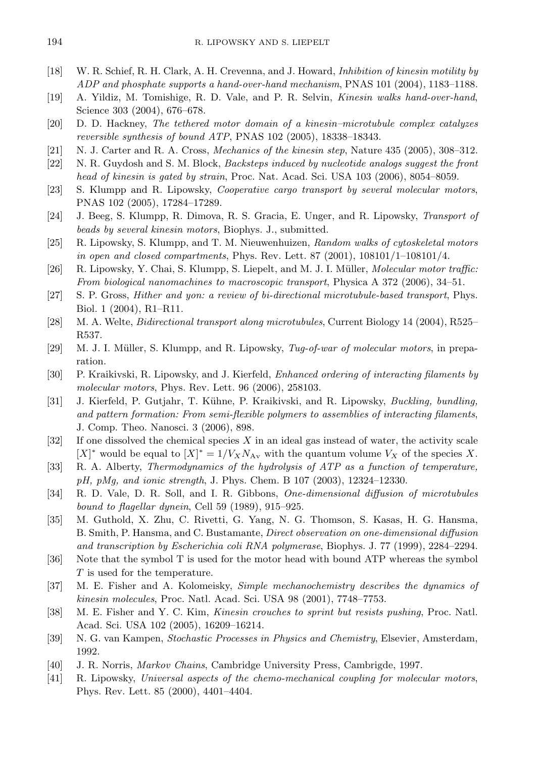- [18] W. R. Schief, R. H. Clark, A. H. Crevenna, and J. Howard, Inhibition of kinesin motility by ADP and phosphate supports a hand-over-hand mechanism, PNAS 101 (2004), 1183–1188.
- [19] A. Yildiz, M. Tomishige, R. D. Vale, and P. R. Selvin, Kinesin walks hand-over-hand, Science 303 (2004), 676–678.
- [20] D. D. Hackney, The tethered motor domain of a kinesin–microtubule complex catalyzes reversible synthesis of bound ATP, PNAS 102 (2005), 18338–18343.
- [21] N. J. Carter and R. A. Cross, Mechanics of the kinesin step, Nature 435 (2005), 308–312.
- [22] N. R. Guydosh and S. M. Block, Backsteps induced by nucleotide analogs suggest the front head of kinesin is gated by strain, Proc. Nat. Acad. Sci. USA 103 (2006), 8054–8059.
- [23] S. Klumpp and R. Lipowsky, Cooperative cargo transport by several molecular motors, PNAS 102 (2005), 17284–17289.
- [24] J. Beeg, S. Klumpp, R. Dimova, R. S. Gracia, E. Unger, and R. Lipowsky, Transport of beads by several kinesin motors, Biophys. J., submitted.
- [25] R. Lipowsky, S. Klumpp, and T. M. Nieuwenhuizen, Random walks of cytoskeletal motors in open and closed compartments, Phys. Rev. Lett. 87 (2001),  $108101/1-108101/4$ .
- [26] R. Lipowsky, Y. Chai, S. Klumpp, S. Liepelt, and M. J. I. Müller, *Molecular motor traffic:* From biological nanomachines to macroscopic transport, Physica A 372 (2006), 34–51.
- [27] S. P. Gross, Hither and yon: a review of bi-directional microtubule-based transport, Phys. Biol. 1 (2004), R1–R11.
- [28] M. A. Welte, Bidirectional transport along microtubules, Current Biology 14 (2004), R525– R537.
- [29] M. J. I. Müller, S. Klumpp, and R. Lipowsky, Tug-of-war of molecular motors, in preparation.
- [30] P. Kraikivski, R. Lipowsky, and J. Kierfeld, Enhanced ordering of interacting filaments by molecular motors, Phys. Rev. Lett. 96 (2006), 258103.
- [31] J. Kierfeld, P. Gutjahr, T. Kühne, P. Kraikivski, and R. Lipowsky, Buckling, bundling, and pattern formation: From semi-flexible polymers to assemblies of interacting filaments, J. Comp. Theo. Nanosci. 3 (2006), 898.
- $[32]$  If one dissolved the chemical species X in an ideal gas instead of water, the activity scale [X]<sup>\*</sup> would be equal to  $[X]^* = 1/V_X N_{\text{Av}}$  with the quantum volume  $V_X$  of the species X.
- [33] R. A. Alberty, Thermodynamics of the hydrolysis of ATP as a function of temperature,  $pH$ ,  $pMq$ , and ionic strength, J. Phys. Chem. B 107 (2003), 12324–12330.
- [34] R. D. Vale, D. R. Soll, and I. R. Gibbons, One-dimensional diffusion of microtubules bound to flagellar dynein, Cell 59 (1989), 915–925.
- [35] M. Guthold, X. Zhu, C. Rivetti, G. Yang, N. G. Thomson, S. Kasas, H. G. Hansma, B. Smith, P. Hansma, and C. Bustamante, Direct observation on one-dimensional diffusion and transcription by Escherichia coli RNA polymerase, Biophys. J. 77 (1999), 2284–2294.
- [36] Note that the symbol T is used for the motor head with bound ATP whereas the symbol T is used for the temperature.
- [37] M. E. Fisher and A. Kolomeisky, Simple mechanochemistry describes the dynamics of kinesin molecules, Proc. Natl. Acad. Sci. USA 98 (2001), 7748–7753.
- [38] M. E. Fisher and Y. C. Kim, Kinesin crouches to sprint but resists pushing, Proc. Natl. Acad. Sci. USA 102 (2005), 16209–16214.
- [39] N. G. van Kampen, Stochastic Processes in Physics and Chemistry, Elsevier, Amsterdam, 1992.
- [40] J. R. Norris, Markov Chains, Cambridge University Press, Cambrigde, 1997.
- [41] R. Lipowsky, Universal aspects of the chemo-mechanical coupling for molecular motors, Phys. Rev. Lett. 85 (2000), 4401–4404.